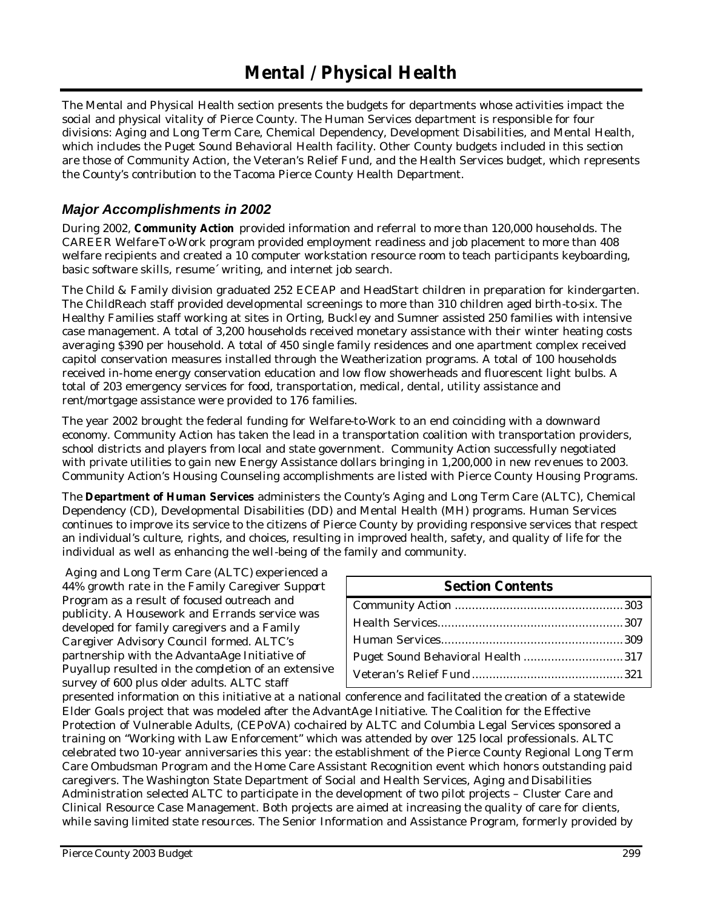The Mental and Physical Health section presents the budgets for departments whose activities impact the social and physical vitality of Pierce County. The Human Services department is responsible for four divisions: Aging and Long Term Care, Chemical Dependency, Development Disabilities, and Mental Health, which includes the Puget Sound Behavioral Health facility. Other County budgets included in this section are those of Community Action, the Veteran's Relief Fund, and the Health Services budget, which represents the County's contribution to the Tacoma Pierce County Health Department.

## *Major Accomplishments in 2002*

During 2002, **Community Action** provided information and referral to more than 120,000 households. The CAREER Welfare-To-Work program provided employment readiness and job placement to more than 408 welfare recipients and created a 10 computer workstation resource room to teach participants keyboarding, basic software skills, resume´ writing, and internet job search.

The Child & Family division graduated 252 ECEAP and HeadStart children in preparation for kindergarten. The ChildReach staff provided developmental screenings to more than 310 children aged birth-to-six. The Healthy Families staff working at sites in Orting, Buckley and Sumner assisted 250 families with intensive case management. A total of 3,200 households received monetary assistance with their winter heating costs averaging \$390 per household. A total of 450 single family residences and one apartment complex received capitol conservation measures installed through the Weatherization programs. A total of 100 households received in-home energy conservation education and low flow showerheads and fluorescent light bulbs. A total of 203 emergency services for food, transportation, medical, dental, utility assistance and rent/mortgage assistance were provided to 176 families.

The year 2002 brought the federal funding for Welfare-to-Work to an end coinciding with a downward economy. Community Action has taken the lead in a transportation coalition with transportation providers, school districts and players from local and state government. Community Action successfully negotiated with private utilities to gain new Energy Assistance dollars bringing in 1,200,000 in new rev enues to 2003. Community Action's Housing Counseling accomplishments are listed with Pierce County Housing Programs.

The **Department of Human Services** administers the County's Aging and Long Term Care (ALTC), Chemical Dependency (CD), Developmental Disabilities (DD) and Mental Health (MH) programs. Human Services continues to improve its service to the citizens of Pierce County by providing responsive services that respect an individual's culture, rights, and choices, resulting in improved health, safety, and quality of life for the individual as well as enhancing the well-being of the family and community.

Aging and Long Term Care (ALTC) experienced a 44% growth rate in the Family Caregiver Support Program as a result of focused outreach and publicity. A Housework and Errands service was developed for family caregivers and a Family Caregiver Advisory Council formed. ALTC's partnership with the AdvantaAge Initiative of Puyallup resulted in the completion of an extensive survey of 600 plus older adults. ALTC staff

| <b>Section Contents</b>           |  |
|-----------------------------------|--|
|                                   |  |
|                                   |  |
|                                   |  |
| Puget Sound Behavioral Health 317 |  |
|                                   |  |

presented information on this initiative at a national conference and facilitated the creation of a statewide Elder Goals project that was modeled after the AdvantAge Initiative. The Coalition for the Effective Protection of Vulnerable Adults, (CEPoVA) co-chaired by ALTC and Columbia Legal Services sponsored a training on "Working with Law Enforcement" which was attended by over 125 local professionals. ALTC celebrated two 10-year anniversaries this year: the establishment of the Pierce County Regional Long Term Care Ombudsman Program and the Home Care Assistant Recognition event which honors outstanding paid caregivers. The Washington State Department of Social and Health Services, Aging and Disabilities Administration selected ALTC to participate in the development of two pilot projects – Cluster Care and Clinical Resource Case Management. Both projects are aimed at increasing the quality of care for clients, while saving limited state resources. The Senior Information and Assistance Program, formerly provided by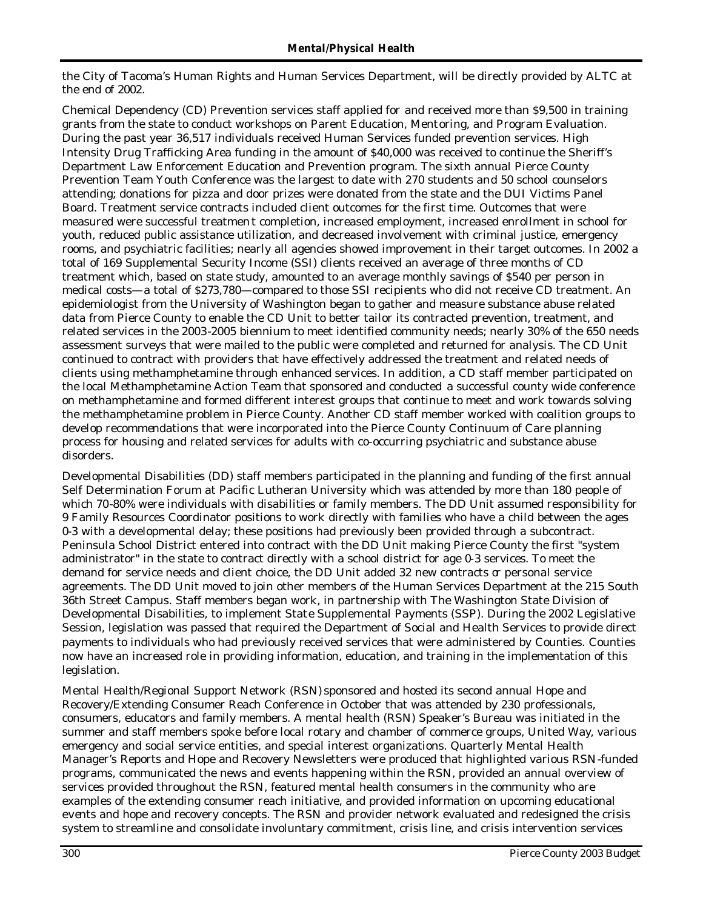the City of Tacoma's Human Rights and Human Services Department, will be directly provided by ALTC at the end of 2002.

Chemical Dependency (CD) Prevention services staff applied for and received more than \$9,500 in training grants from the state to conduct workshops on Parent Education, Mentoring, and Program Evaluation. During the past year 36,517 individuals received Human Services funded prevention services. High Intensity Drug Trafficking Area funding in the amount of \$40,000 was received to continue the Sheriff's Department Law Enforcement Education and Prevention program. The sixth annual Pierce County Prevention Team Youth Conference was the largest to date with 270 students and 50 school counselors attending; donations for pizza and door prizes were donated from the state and the DUI Victims Panel Board. Treatment service contracts included client outcomes for the first time. Outcomes that were measured were successful treatmen t completion, increased employment, increased enrollment in school for youth, reduced public assistance utilization, and decreased involvement with criminal justice, emergency rooms, and psychiatric facilities; nearly all agencies showed improvement in their target outcomes. In 2002 a total of 169 Supplemental Security Income (SSI) clients received an average of three months of CD treatment which, based on state study, amounted to an average monthly savings of \$540 per person in medical costs—a total of \$273,780—compared to those SSI recipients who did not receive CD treatment. An epidemiologist from the University of Washington began to gather and measure substance abuse related data from Pierce County to enable the CD Unit to better tailor its contracted prevention, treatment, and related services in the 2003-2005 biennium to meet identified community needs; nearly 30% of the 650 needs assessment surveys that were mailed to the public were completed and returned for analysis. The CD Unit continued to contract with providers that have effectively addressed the treatment and related needs of clients using methamphetamine through enhanced services. In addition, a CD staff member participated on the local Methamphetamine Action Team that sponsored and conducted a successful county wide conference on methamphetamine and formed different interest groups that continue to meet and work towards solving the methamphetamine problem in Pierce County. Another CD staff member worked with coalition groups to develop recommendations that were incorporated into the Pierce County Continuum of Care planning process for housing and related services for adults with co-occurring psychiatric and substance abuse disorders.

Developmental Disabilities (DD) staff members participated in the planning and funding of the first annual Self Determination Forum at Pacific Lutheran University which was attended by more than 180 people of which 70-80% were individuals with disabilities or family members. The DD Unit assumed responsibility for 9 Family Resources Coordinator positions to work directly with families who have a child between the ages 0-3 with a developmental delay; these positions had previously been provided through a subcontract. Peninsula School District entered into contract with the DD Unit making Pierce County the first "system administrator" in the state to contract directly with a school district for age 0-3 services. To meet the demand for service needs and client choice, the DD Unit added 32 new contracts or personal service agreements. The DD Unit moved to join other members of the Human Services Department at the 215 South 36th Street Campus. Staff members began work, in partnership with The Washington State Division of Developmental Disabilities, to implement State Supplemental Payments (SSP). During the 2002 Legislative Session, legislation was passed that required the Department of Social and Health Services to provide direct payments to individuals who had previously received services that were administered by Counties. Counties now have an increased role in providing information, education, and training in the implementation of this legislation.

Mental Health/Regional Support Network (RSN) sponsored and hosted its second annual Hope and Recovery/Extending Consumer Reach Conference in October that was attended by 230 professionals, consumers, educators and family members. A mental health (RSN) Speaker's Bureau was initiated in the summer and staff members spoke before local rotary and chamber of commerce groups, United Way, various emergency and social service entities, and special interest organizations. Quarterly Mental Health Manager's Reports and Hope and Recovery Newsletters were produced that highlighted various RSN-funded programs, communicated the news and events happening within the RSN, provided an annual overview of services provided throughout the RSN, featured mental health consumers in the community who are examples of the extending consumer reach initiative, and provided information on upcoming educational events and hope and recovery concepts. The RSN and provider network evaluated and redesigned the crisis system to streamline and consolidate involuntary commitment, crisis line, and crisis intervention services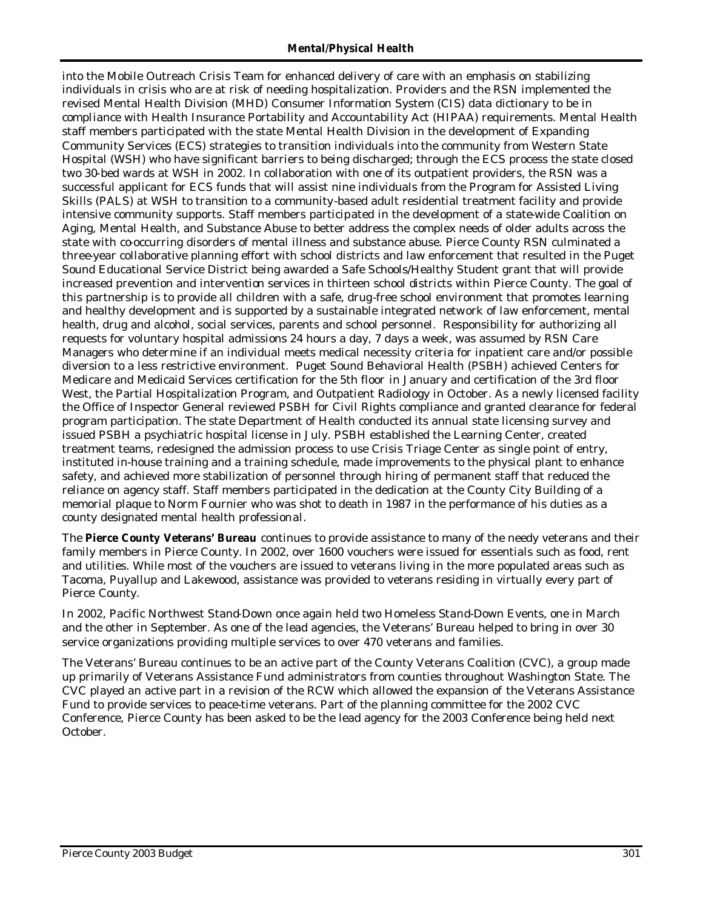#### *Mental/Physical Health*

into the Mobile Outreach Crisis Team for enhanced delivery of care with an emphasis on stabilizing individuals in crisis who are at risk of needing hospitalization. Providers and the RSN implemented the revised Mental Health Division (MHD) Consumer Information System (CIS) data dictionary to be in compliance with Health Insurance Portability and Accountability Act (HIPAA) requirements. Mental Health staff members participated with the state Mental Health Division in the development of Expanding Community Services (ECS) strategies to transition individuals into the community from Western State Hospital (WSH) who have significant barriers to being discharged; through the ECS process the state closed two 30-bed wards at WSH in 2002. In collaboration with one of its outpatient providers, the RSN was a successful applicant for ECS funds that will assist nine individuals from the Program for Assisted Living Skills (PALS) at WSH to transition to a community-based adult residential treatment facility and provide intensive community supports. Staff members participated in the development of a state-wide Coalition on Aging, Mental Health, and Substance Abuse to better address the complex needs of older adults across the state with co-occurring disorders of mental illness and substance abuse. Pierce County RSN culminated a three-year collaborative planning effort with school districts and law enforcement that resulted in the Puget Sound Educational Service District being awarded a Safe Schools/Healthy Student grant that will provide increased prevention and intervention services in thirteen school districts within Pierce County. The goal of this partnership is to provide all children with a safe, drug-free school environment that promotes learning and healthy development and is supported by a sustainable integrated network of law enforcement, mental health, drug and alcohol, social services, parents and school personnel. Responsibility for authorizing all requests for voluntary hospital admissions 24 hours a day, 7 days a week, was assumed by RSN Care Managers who determine if an individual meets medical necessity criteria for inpatient care and/or possible diversion to a less restrictive environment. Puget Sound Behavioral Health (PSBH) achieved Centers for Medicare and Medicaid Services certification for the 5th floor in January and certification of the 3rd floor West, the Partial Hospitalization Program, and Outpatient Radiology in October. As a newly licensed facility the Office of Inspector General reviewed PSBH for Civil Rights compliance and granted clearance for federal program participation. The state Department of Health conducted its annual state licensing survey and issued PSBH a psychiatric hospital license in July. PSBH established the Learning Center, created treatment teams, redesigned the admission process to use Crisis Triage Center as single point of entry, instituted in-house training and a training schedule, made improvements to the physical plant to enhance safety, and achieved more stabilization of personnel through hiring of permanent staff that reduced the reliance on agency staff. Staff members participated in the dedication at the County City Building of a memorial plaque to Norm Fournier who was shot to death in 1987 in the performance of his duties as a county designated mental health professional.

The **Pierce County Veterans' Bureau** continues to provide assistance to many of the needy veterans and their family members in Pierce County. In 2002, over 1600 vouchers were issued for essentials such as food, rent and utilities. While most of the vouchers are issued to veterans living in the more populated areas such as Tacoma, Puyallup and Lakewood, assistance was provided to veterans residing in virtually every part of Pierce County.

In 2002, Pacific Northwest Stand-Down once again held two Homeless Stand-Down Events, one in March and the other in September. As one of the lead agencies, the Veterans' Bureau helped to bring in over 30 service organizations providing multiple services to over 470 veterans and families.

The Veterans' Bureau continues to be an active part of the County Veterans Coalition (CVC), a group made up primarily of Veterans Assistance Fund administrators from counties throughout Washington State. The CVC played an active part in a revision of the RCW which allowed the expansion of the Veterans Assistance Fund to provide services to peace-time veterans. Part of the planning committee for the 2002 CVC Conference, Pierce County has been asked to be the lead agency for the 2003 Conference being held next October.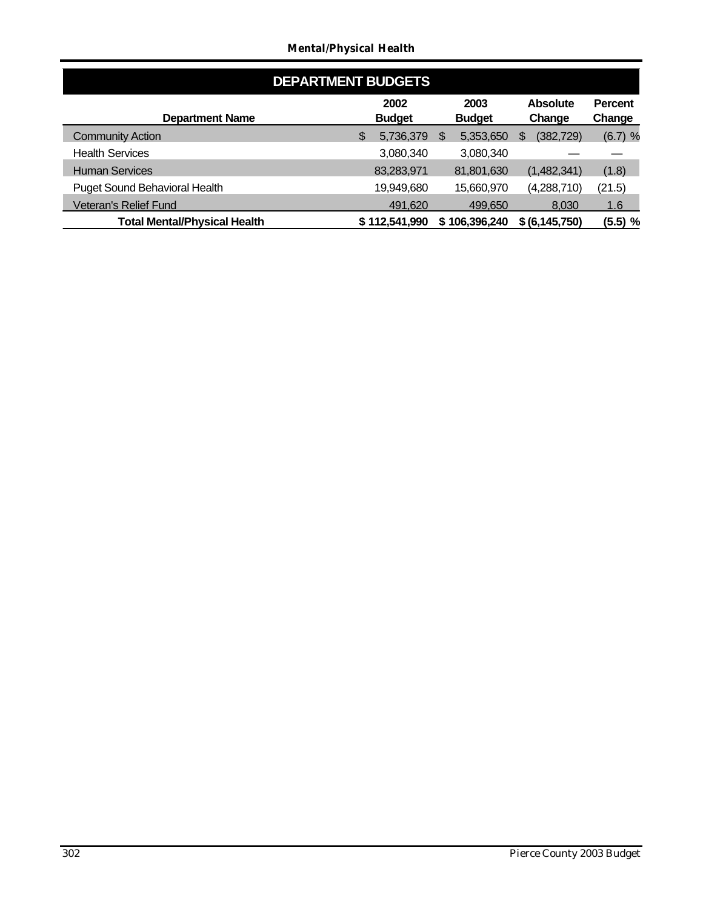### *Mental/Physical Health*

| <b>DEPARTMENT BUDGETS</b>           |   |                       |     |                       |   |                           |                          |  |  |  |
|-------------------------------------|---|-----------------------|-----|-----------------------|---|---------------------------|--------------------------|--|--|--|
| <b>Department Name</b>              |   | 2002<br><b>Budget</b> |     | 2003<br><b>Budget</b> |   | <b>Absolute</b><br>Change | <b>Percent</b><br>Change |  |  |  |
| <b>Community Action</b>             | S | 5,736,379             | \$. | 5,353,650             | S | (382, 729)                | $(6.7)$ %                |  |  |  |
| <b>Health Services</b>              |   | 3,080,340             |     | 3,080,340             |   |                           |                          |  |  |  |
| <b>Human Services</b>               |   | 83,283,971            |     | 81,801,630            |   | (1,482,341)               | (1.8)                    |  |  |  |
| Puget Sound Behavioral Health       |   | 19,949,680            |     | 15,660,970            |   | (4,288,710)               | (21.5)                   |  |  |  |
| Veteran's Relief Fund               |   | 491,620               |     | 499,650               |   | 8,030                     | 1.6                      |  |  |  |
| <b>Total Mental/Physical Health</b> |   | \$112,541,990         |     | \$106,396,240         |   | \$ (6, 145, 750)          | (5.5) %                  |  |  |  |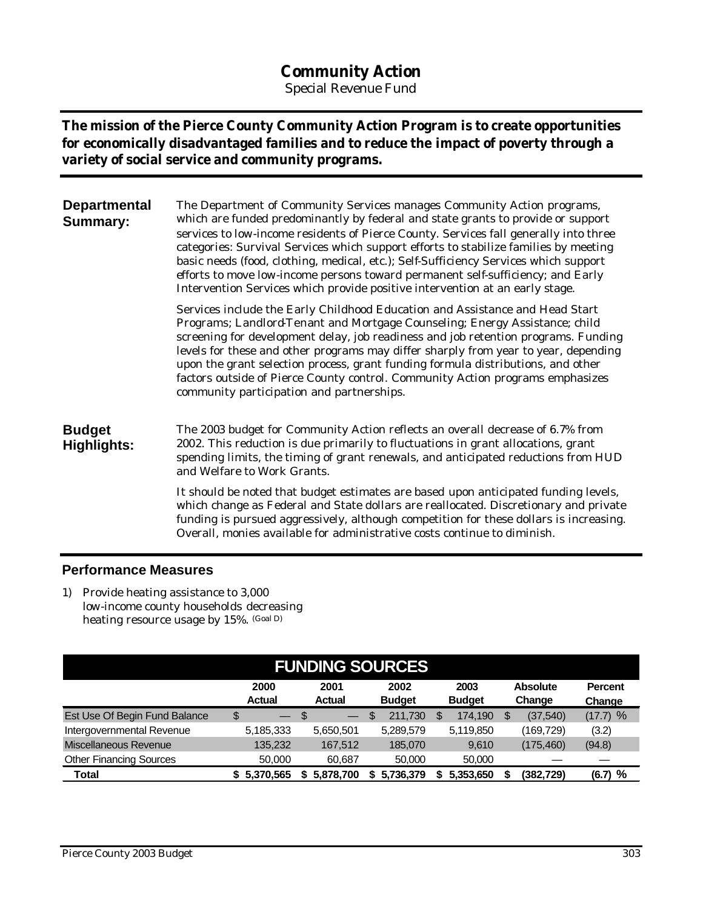# **Community Action**

*Special Revenue Fund*

**The mission of the Pierce County Community Action Program is to create opportunities for economically disadvantaged families and to reduce the impact of poverty through a variety of social service and community programs.** 

| <b>Departmental</b><br><b>Summary:</b> | The Department of Community Services manages Community Action programs,<br>which are funded predominantly by federal and state grants to provide or support<br>services to low-income residents of Pierce County. Services fall generally into three<br>categories: Survival Services which support efforts to stabilize families by meeting<br>basic needs (food, clothing, medical, etc.); Self-Sufficiency Services which support<br>efforts to move low-income persons toward permanent self-sufficiency; and Early<br>Intervention Services which provide positive intervention at an early stage. |
|----------------------------------------|---------------------------------------------------------------------------------------------------------------------------------------------------------------------------------------------------------------------------------------------------------------------------------------------------------------------------------------------------------------------------------------------------------------------------------------------------------------------------------------------------------------------------------------------------------------------------------------------------------|
|                                        | Services include the Early Childhood Education and Assistance and Head Start<br>Programs; Landlord-Tenant and Mortgage Counseling; Energy Assistance; child<br>screening for development delay, job readiness and job retention programs. Funding<br>levels for these and other programs may differ sharply from year to year, depending<br>upon the grant selection process, grant funding formula distributions, and other<br>factors outside of Pierce County control. Community Action programs emphasizes<br>community participation and partnerships.                                             |
| <b>Budget</b><br><b>Highlights:</b>    | The 2003 budget for Community Action reflects an overall decrease of 6.7% from<br>2002. This reduction is due primarily to fluctuations in grant allocations, grant<br>spending limits, the timing of grant renewals, and anticipated reductions from HUD<br>and Welfare to Work Grants.                                                                                                                                                                                                                                                                                                                |
|                                        | It should be noted that budget estimates are based upon anticipated funding levels,<br>which change as Federal and State dollars are reallocated. Discretionary and private<br>funding is pursued aggressively, although competition for these dollars is increasing.<br>Overall, monies available for administrative costs continue to diminish.                                                                                                                                                                                                                                                       |

## **Performance Measures**

1) Provide heating assistance to 3,000 low-income county households decreasing heating resource usage by 15%. (Goal D)

| <b>FUNDING SOURCES</b>         |                       |                                |                       |                       |                           |                          |  |  |  |
|--------------------------------|-----------------------|--------------------------------|-----------------------|-----------------------|---------------------------|--------------------------|--|--|--|
|                                | 2000<br><b>Actual</b> | 2001<br><b>Actual</b>          | 2002<br><b>Budget</b> | 2003<br><b>Budget</b> | <b>Absolute</b><br>Change | <b>Percent</b><br>Change |  |  |  |
| Est Use Of Begin Fund Balance  | \$<br>ਢ               | \$<br>$\overline{\phantom{0}}$ | 211,730<br>\$         | 174,190               | (37, 540)<br>S            | (17.7) %                 |  |  |  |
| Intergovernmental Revenue      | 5,185,333             | 5,650,501                      | 5,289,579             | 5,119,850             | (169,729)                 | (3.2)                    |  |  |  |
| Miscellaneous Revenue          | 135,232               | 167,512                        | 185,070               | 9.610                 | (175, 460)                | (94.8)                   |  |  |  |
| <b>Other Financing Sources</b> | 50,000                | 60.687                         | 50,000                | 50,000                |                           |                          |  |  |  |
| Total                          | 5.370.565             | 5.878.700<br>S.                | 5.736.379             | 5,353,650             | (382,729)                 | %<br>(6.7)               |  |  |  |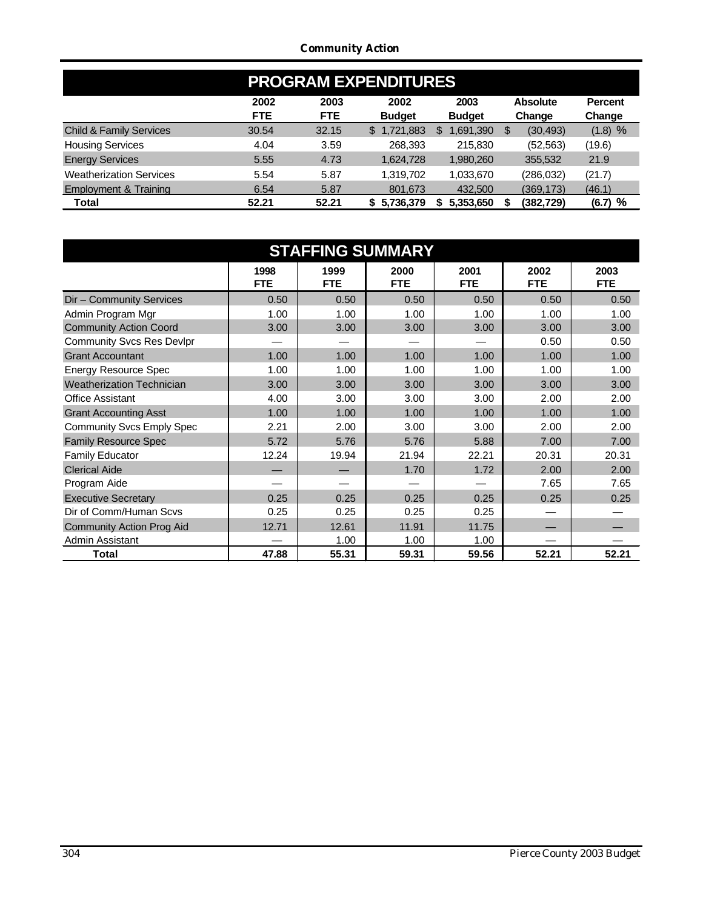### *Community Action*

| <b>PROGRAM EXPENDITURES</b>        |            |            |               |               |                 |                |  |  |  |  |
|------------------------------------|------------|------------|---------------|---------------|-----------------|----------------|--|--|--|--|
|                                    | 2002       | 2003       | 2002          | 2003          | <b>Absolute</b> | <b>Percent</b> |  |  |  |  |
|                                    | <b>FTE</b> | <b>FTE</b> | <b>Budget</b> | <b>Budget</b> | Change          | Change         |  |  |  |  |
| <b>Child &amp; Family Services</b> | 30.54      | 32.15      | \$1,721,883   | .691,390      | (30, 493)<br>S  | (1.8) %        |  |  |  |  |
| <b>Housing Services</b>            | 4.04       | 3.59       | 268.393       | 215,830       | (52, 563)       | (19.6)         |  |  |  |  |
| <b>Energy Services</b>             | 5.55       | 4.73       | 1,624,728     | 1,980,260     | 355,532         | 21.9           |  |  |  |  |
| <b>Weatherization Services</b>     | 5.54       | 5.87       | 1,319,702     | 1,033,670     | (286,032)       | (21.7)         |  |  |  |  |
| <b>Employment &amp; Training</b>   | 6.54       | 5.87       | 801,673       | 432,500       | (369,173)       | (46.1)         |  |  |  |  |
| Total                              | 52.21      | 52.21      | 5,736,379     | 5,353,650     | (382,729)       | (6.7) %        |  |  |  |  |

|                                  | <b>STAFFING SUMMARY</b> |                    |                    |                    |                    |                    |  |  |  |  |  |
|----------------------------------|-------------------------|--------------------|--------------------|--------------------|--------------------|--------------------|--|--|--|--|--|
|                                  | 1998<br><b>FTE</b>      | 1999<br><b>FTE</b> | 2000<br><b>FTE</b> | 2001<br><b>FTE</b> | 2002<br><b>FTE</b> | 2003<br><b>FTE</b> |  |  |  |  |  |
| Dir - Community Services         | 0.50                    | 0.50               | 0.50               | 0.50               | 0.50               | 0.50               |  |  |  |  |  |
| Admin Program Mgr                | 1.00                    | 1.00               | 1.00               | 1.00               | 1.00               | 1.00               |  |  |  |  |  |
| <b>Community Action Coord</b>    | 3.00                    | 3.00               | 3.00               | 3.00               | 3.00               | 3.00               |  |  |  |  |  |
| <b>Community Svcs Res Devlpr</b> |                         |                    |                    |                    | 0.50               | 0.50               |  |  |  |  |  |
| <b>Grant Accountant</b>          | 1.00                    | 1.00               | 1.00               | 1.00               | 1.00               | 1.00               |  |  |  |  |  |
| <b>Energy Resource Spec</b>      | 1.00                    | 1.00               | 1.00               | 1.00               | 1.00               | 1.00               |  |  |  |  |  |
| <b>Weatherization Technician</b> | 3.00                    | 3.00               | 3.00               | 3.00               | 3.00               | 3.00               |  |  |  |  |  |
| <b>Office Assistant</b>          | 4.00                    | 3.00               | 3.00               | 3.00               | 2.00               | 2.00               |  |  |  |  |  |
| <b>Grant Accounting Asst</b>     | 1.00                    | 1.00               | 1.00               | 1.00               | 1.00               | 1.00               |  |  |  |  |  |
| <b>Community Svcs Emply Spec</b> | 2.21                    | 2.00               | 3.00               | 3.00               | 2.00               | 2.00               |  |  |  |  |  |
| <b>Family Resource Spec</b>      | 5.72                    | 5.76               | 5.76               | 5.88               | 7.00               | 7.00               |  |  |  |  |  |
| <b>Family Educator</b>           | 12.24                   | 19.94              | 21.94              | 22.21              | 20.31              | 20.31              |  |  |  |  |  |
| <b>Clerical Aide</b>             |                         |                    | 1.70               | 1.72               | 2.00               | 2.00               |  |  |  |  |  |
| Program Aide                     |                         |                    |                    |                    | 7.65               | 7.65               |  |  |  |  |  |
| <b>Executive Secretary</b>       | 0.25                    | 0.25               | 0.25               | 0.25               | 0.25               | 0.25               |  |  |  |  |  |
| Dir of Comm/Human Scvs           | 0.25                    | 0.25               | 0.25               | 0.25               |                    |                    |  |  |  |  |  |
| <b>Community Action Prog Aid</b> | 12.71                   | 12.61              | 11.91              | 11.75              |                    |                    |  |  |  |  |  |
| Admin Assistant                  |                         | 1.00               | 1.00               | 1.00               |                    |                    |  |  |  |  |  |
| <b>Total</b>                     | 47.88                   | 55.31              | 59.31              | 59.56              | 52.21              | 52.21              |  |  |  |  |  |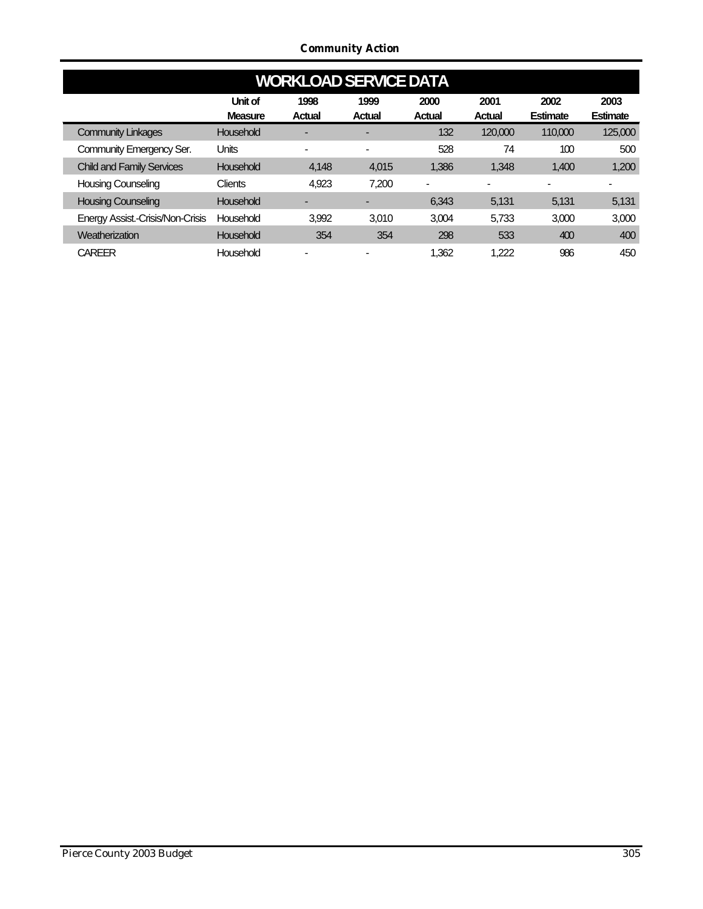*Community Action*

|                                  | <b>WORKLOAD SERVICE DATA</b> |                          |                       |                       |                       |                         |                  |  |  |  |  |  |  |
|----------------------------------|------------------------------|--------------------------|-----------------------|-----------------------|-----------------------|-------------------------|------------------|--|--|--|--|--|--|
|                                  | Unit of<br><b>Measure</b>    | 1998<br><b>Actual</b>    | 1999<br><b>Actual</b> | 2000<br><b>Actual</b> | 2001<br><b>Actual</b> | 2002<br><b>Estimate</b> | 2003<br>Estimate |  |  |  |  |  |  |
| <b>Community Linkages</b>        | Household                    |                          |                       | 132                   | 120,000               | 110,000                 | 125,000          |  |  |  |  |  |  |
| Community Emergency Ser.         | <b>Units</b>                 | $\overline{\phantom{0}}$ | $\blacksquare$        | 528                   | 74                    | 100                     | 500              |  |  |  |  |  |  |
| <b>Child and Family Services</b> | Household                    | 4,148                    | 4.015                 | 1.386                 | 1.348                 | 1,400                   | 1,200            |  |  |  |  |  |  |
| <b>Housing Counseling</b>        | <b>Clients</b>               | 4,923                    | 7,200                 |                       |                       |                         |                  |  |  |  |  |  |  |
| <b>Housing Counseling</b>        | Household                    |                          |                       | 6.343                 | 5.131                 | 5.131                   | 5,131            |  |  |  |  |  |  |
| Energy Assist.-Crisis/Non-Crisis | Household                    | 3,992                    | 3.010                 | 3.004                 | 5,733                 | 3,000                   | 3,000            |  |  |  |  |  |  |
| Weatherization                   | Household                    | 354                      | 354                   | 298                   | 533                   | 400                     | 400              |  |  |  |  |  |  |
| <b>CAREER</b>                    | Household                    |                          |                       | 1.362                 | 1.222                 | 986                     | 450              |  |  |  |  |  |  |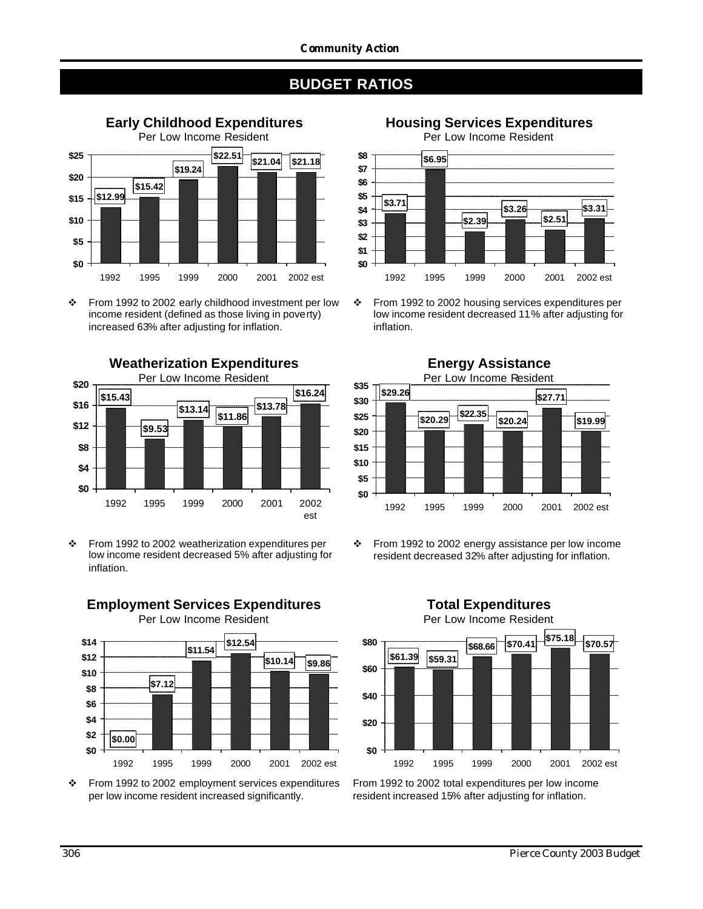

v From 1992 to 2002 early childhood investment per low income resident (defined as those living in poverty) increased 63% after adjusting for inflation.



\* From 1992 to 2002 weatherization expenditures per low income resident decreased 5% after adjusting for inflation.



\* From 1992 to 2002 employment services expenditures per low income resident increased significantly.

**Housing Services Expenditures** Per Low Income Resident **\$3.71 \$6.95 \$2.39 \$3.26 \$2.51 \$3.31 \$0 \$1 \$2 \$3 \$4 \$5 \$6 \$7 \$8** 1992 1995 1999 2000 2001 2002 est

v From 1992 to 2002 housing services expenditures per low income resident decreased 11% after adjusting for inflation.



v From 1992 to 2002 energy assistance per low income resident decreased 32% after adjusting for inflation.



From 1992 to 2002 total expenditures per low income resident increased 15% after adjusting for inflation.

# **Employment Services Expenditures**

Per Low Income Resident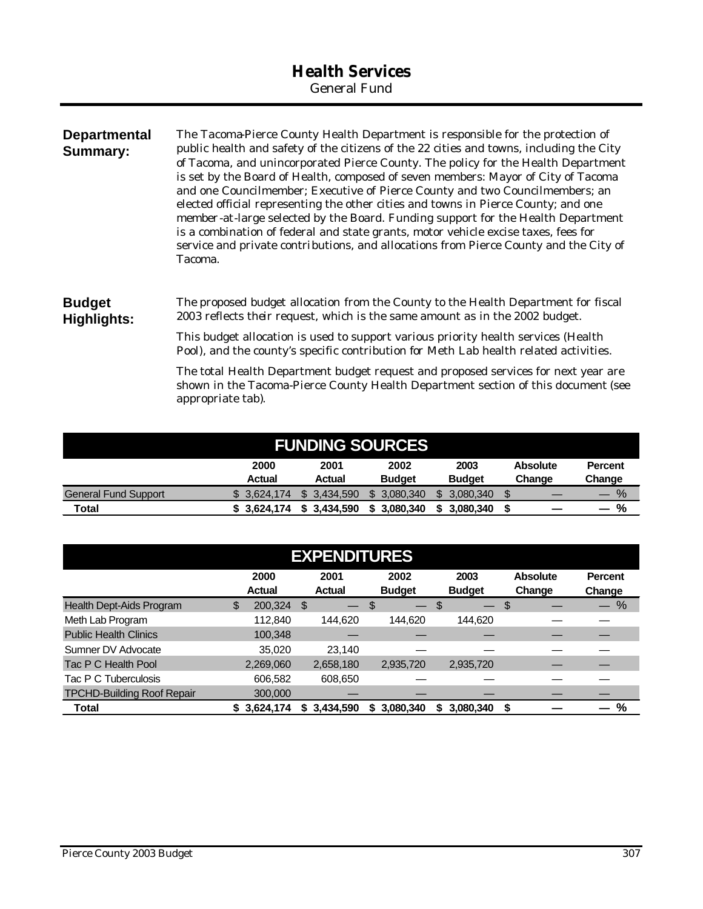| <b>Departmental</b><br><b>Summary:</b> | The Tacoma-Pierce County Health Department is responsible for the protection of<br>public health and safety of the citizens of the 22 cities and towns, including the City<br>of Tacoma, and unincorporated Pierce County. The policy for the Health Department<br>is set by the Board of Health, composed of seven members: Mayor of City of Tacoma<br>and one Councilmember; Executive of Pierce County and two Councilmembers; an<br>elected official representing the other cities and towns in Pierce County; and one<br>member-at-large selected by the Board. Funding support for the Health Department<br>is a combination of federal and state grants, motor vehicle excise taxes, fees for<br>service and private contributions, and allocations from Pierce County and the City of<br>Tacoma. |
|----------------------------------------|----------------------------------------------------------------------------------------------------------------------------------------------------------------------------------------------------------------------------------------------------------------------------------------------------------------------------------------------------------------------------------------------------------------------------------------------------------------------------------------------------------------------------------------------------------------------------------------------------------------------------------------------------------------------------------------------------------------------------------------------------------------------------------------------------------|
| <b>Budget</b><br>Highlights:           | The proposed budget allocation from the County to the Health Department for fiscal<br>2003 reflects their request, which is the same amount as in the 2002 budget.                                                                                                                                                                                                                                                                                                                                                                                                                                                                                                                                                                                                                                       |
|                                        | This budget allocation is used to support various priority health services (Health<br>Pool), and the county's specific contribution for Meth Lab health related activities.                                                                                                                                                                                                                                                                                                                                                                                                                                                                                                                                                                                                                              |

The total Health Department budget request and proposed services for next year are shown in the Tacoma-Pierce County Health Department section of this document (see appropriate tab).

| <b>FUNDING SOURCES</b>      |                |                |                       |                       |                           |                          |  |  |  |
|-----------------------------|----------------|----------------|-----------------------|-----------------------|---------------------------|--------------------------|--|--|--|
|                             | 2000<br>Actual | 2001<br>Actual | 2002<br><b>Budget</b> | 2003<br><b>Budget</b> | <b>Absolute</b><br>Change | <b>Percent</b><br>Change |  |  |  |
| <b>General Fund Support</b> | \$3.624.174    | \$ 3.434,590   | \$ 3,080,340          | 3.080.340             |                           | $\%$                     |  |  |  |
| Total                       | \$3.624.174    | 3.434.590      | 3.080.340             | 3.080.340             |                           | %                        |  |  |  |

| <b>EXPENDITURES</b>               |    |                       |    |                       |    |                          |      |                          |    |                           |                                    |
|-----------------------------------|----|-----------------------|----|-----------------------|----|--------------------------|------|--------------------------|----|---------------------------|------------------------------------|
|                                   |    | 2000<br><b>Actual</b> |    | 2001<br><b>Actual</b> |    | 2002<br><b>Budget</b>    |      | 2003<br><b>Budget</b>    |    | <b>Absolute</b><br>Change | <b>Percent</b><br>Change           |
| Health Dept-Aids Program          | \$ | 200,324               | \$ |                       | \$ | $\overline{\phantom{0}}$ | - \$ | $\overline{\phantom{0}}$ | \$ |                           | %<br>$\overbrace{\phantom{13333}}$ |
| Meth Lab Program                  |    | 112,840               |    | 144.620               |    | 144.620                  |      | 144,620                  |    |                           |                                    |
| <b>Public Health Clinics</b>      |    | 100,348               |    |                       |    |                          |      |                          |    |                           |                                    |
| Sumner DV Advocate                |    | 35,020                |    | 23,140                |    |                          |      |                          |    |                           |                                    |
| Tac P C Health Pool               |    | 2,269,060             |    | 2,658,180             |    | 2,935,720                |      | 2,935,720                |    |                           |                                    |
| Tac P C Tuberculosis              |    | 606,582               |    | 608,650               |    |                          |      |                          |    |                           |                                    |
| <b>TPCHD-Building Roof Repair</b> |    | 300,000               |    |                       |    |                          |      |                          |    |                           |                                    |
| <b>Total</b>                      |    | \$3,624,174           |    | \$3,434,590           |    | \$3,080,340              |      | 3.080.340                | \$ |                           | $\%$                               |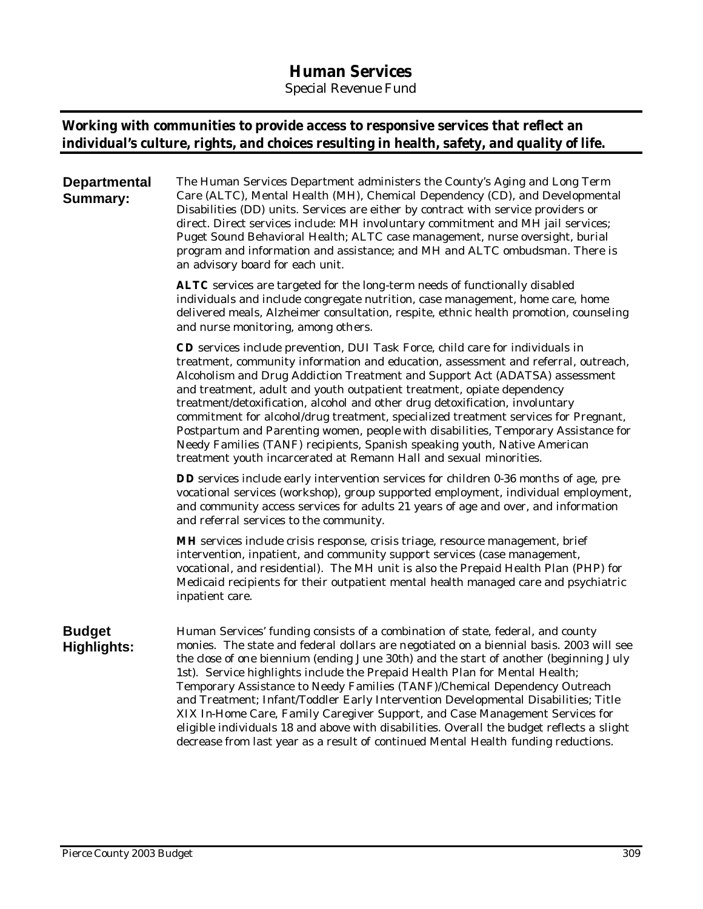# **Human Services**

*Special Revenue Fund*

## **Working with communities to provide access to responsive services that reflect an individual's culture, rights, and choices resulting in health, safety, and quality of life.**

**Departmental Summary:** The Human Services Department administers the County's Aging and Long Term Care (ALTC), Mental Health (MH), Chemical Dependency (CD), and Developmental Disabilities (DD) units. Services are either by contract with service providers or direct. Direct services include: MH involuntary commitment and MH jail services; Puget Sound Behavioral Health; ALTC case management, nurse oversight, burial program and information and assistance; and MH and ALTC ombudsman. There is an advisory board for each unit.

> **ALTC** services are targeted for the long-term needs of functionally disabled individuals and include congregate nutrition, case management, home care, home delivered meals, Alzheimer consultation, respite, ethnic health promotion, counseling and nurse monitoring, among others.

> **CD** services include prevention, DUI Task Force, child care for individuals in treatment, community information and education, assessment and referral, outreach, Alcoholism and Drug Addiction Treatment and Support Act (ADATSA) assessment and treatment, adult and youth outpatient treatment, opiate dependency treatment/detoxification, alcohol and other drug detoxification, involuntary commitment for alcohol/drug treatment, specialized treatment services for Pregnant, Postpartum and Parenting women, people with disabilities, Temporary Assistance for Needy Families (TANF) recipients, Spanish speaking youth, Native American treatment youth incarcerated at Remann Hall and sexual minorities.

> **DD** services include early intervention services for children 0-36 months of age, prevocational services (workshop), group supported employment, individual employment, and community access services for adults 21 years of age and over, and information and referral services to the community.

**MH** services include crisis response, crisis triage, resource management, brief intervention, inpatient, and community support services (case management, vocational, and residential). The MH unit is also the Prepaid Health Plan (PHP) for Medicaid recipients for their outpatient mental health managed care and psychiatric inpatient care.

#### **Budget Highlights:** Human Services' funding consists of a combination of state, federal, and county monies. The state and federal dollars are negotiated on a biennial basis. 2003 will see the close of one biennium (ending June 30th) and the start of another (beginning July 1st). Service highlights include the Prepaid Health Plan for Mental Health; Temporary Assistance to Needy Families (TANF)/Chemical Dependency Outreach and Treatment; Infant/Toddler Early Intervention Developmental Disabilities; Title XIX In-Home Care, Family Caregiver Support, and Case Management Services for eligible individuals 18 and above with disabilities. Overall the budget reflects a slight decrease from last year as a result of continued Mental Health funding reductions.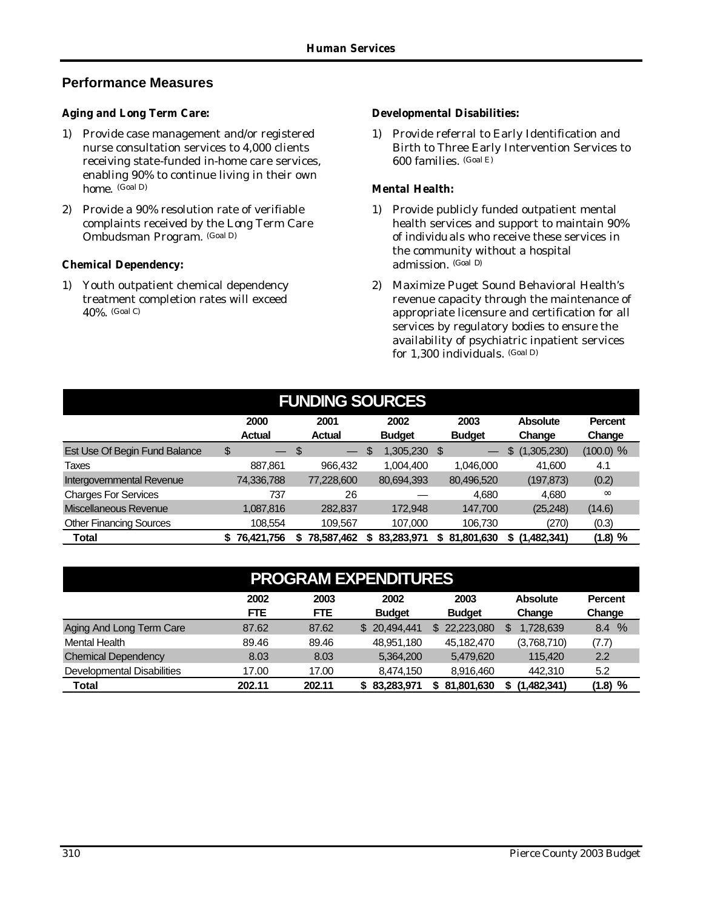## **Performance Measures**

#### *Aging and Long Term Care:*

- 1) Provide case management and/or registered nurse consultation services to 4,000 clients receiving state-funded in-home care services, enabling 90% to continue living in their own home. (Goal D)
- 2) Provide a 90% resolution rate of verifiable complaints received by the Long Term Care Ombudsman Program. (Goal D)

#### *Chemical Dependency:*

1) Youth outpatient chemical dependency treatment completion rates will exceed 40%. (Goal C)

#### *Developmental Disabilities:*

1) Provide referral to Early Identification and Birth to Three Early Intervention Services to 600 families. (Goal E)

#### *Mental Health:*

- 1) Provide publicly funded outpatient mental health services and support to maintain 90% of individuals who receive these services in the community without a hospital admission. (Goal D)
- 2) Maximize Puget Sound Behavioral Health's revenue capacity through the maintenance of appropriate licensure and certification for all services by regulatory bodies to ensure the availability of psychiatric inpatient services for 1,300 individuals. (Goal D)

| <b>FUNDING SOURCES</b>         |                       |                       |                       |                       |                           |                          |  |  |  |  |  |
|--------------------------------|-----------------------|-----------------------|-----------------------|-----------------------|---------------------------|--------------------------|--|--|--|--|--|
|                                | 2000<br><b>Actual</b> | 2001<br><b>Actual</b> | 2002<br><b>Budget</b> | 2003<br><b>Budget</b> | <b>Absolute</b><br>Change | <b>Percent</b><br>Change |  |  |  |  |  |
| Est Use Of Begin Fund Balance  | \$                    | Ŝ.                    | 1,305,230 \$<br>S     |                       | (1,305,230)<br>\$         | $(100.0)$ %              |  |  |  |  |  |
| Taxes                          | 887.861               | 966.432               | 1,004,400             | 1.046.000             | 41,600                    | 4.1                      |  |  |  |  |  |
| Intergovernmental Revenue      | 74,336,788            | 77,228,600            | 80,694,393            | 80,496,520            | (197,873)                 | (0.2)                    |  |  |  |  |  |
| <b>Charges For Services</b>    | 737                   | 26                    |                       | 4.680                 | 4,680                     | $\infty$                 |  |  |  |  |  |
| <b>Miscellaneous Revenue</b>   | 1,087,816             | 282,837               | 172.948               | 147,700               | (25, 248)                 | (14.6)                   |  |  |  |  |  |
| <b>Other Financing Sources</b> | 108.554               | 109.567               | 107,000               | 106,730               | (270)                     | (0.3)                    |  |  |  |  |  |
| Total                          | 76,421,756            | 78,587,462            | 83,283,971            | 81,801,630            | (1,482,341)<br>S.         | (1.8) %                  |  |  |  |  |  |

| <b>PROGRAM EXPENDITURES</b>       |            |            |               |                   |                 |                |  |  |  |  |
|-----------------------------------|------------|------------|---------------|-------------------|-----------------|----------------|--|--|--|--|
|                                   | 2002       | 2003       | 2002          | 2003              | <b>Absolute</b> | <b>Percent</b> |  |  |  |  |
|                                   | <b>FTE</b> | <b>FTE</b> | <b>Budget</b> | <b>Budget</b>     | Change          | Change         |  |  |  |  |
| Aging And Long Term Care          | 87.62      | 87.62      | \$ 20,494,441 | \$22,223,080      | 1,728,639<br>\$ | %<br>8.4       |  |  |  |  |
| Mental Health                     | 89.46      | 89.46      | 48,951,180    | 45,182,470        | (3,768,710)     | (7.7)          |  |  |  |  |
| <b>Chemical Dependency</b>        | 8.03       | 8.03       | 5,364,200     | 5,479,620         | 115,420         | 2.2            |  |  |  |  |
| <b>Developmental Disabilities</b> | 17.00      | 17.00      | 8,474,150     | 8,916,460         | 442,310         | 5.2            |  |  |  |  |
| Total                             | 202.11     | 202.11     | \$83,283,971  | 81,801,630<br>\$. | (1,482,341)     | %<br>(1.8)     |  |  |  |  |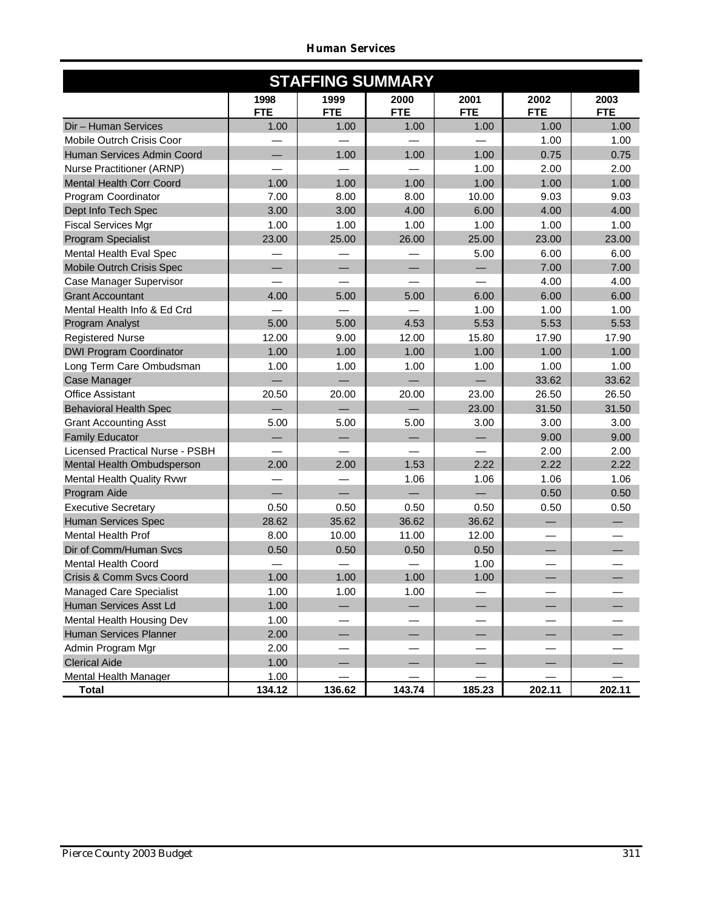|                                 | <b>STAFFING SUMMARY</b> |                    |                    |                    |                    |                    |  |  |  |  |  |  |  |
|---------------------------------|-------------------------|--------------------|--------------------|--------------------|--------------------|--------------------|--|--|--|--|--|--|--|
|                                 | 1998<br><b>FTE</b>      | 1999<br><b>FTE</b> | 2000<br><b>FTE</b> | 2001<br><b>FTE</b> | 2002<br><b>FTE</b> | 2003<br><b>FTE</b> |  |  |  |  |  |  |  |
| Dir - Human Services            | 1.00                    | 1.00               | 1.00               | 1.00               | 1.00               | 1.00               |  |  |  |  |  |  |  |
| Mobile Outrch Crisis Coor       |                         |                    |                    |                    | 1.00               | 1.00               |  |  |  |  |  |  |  |
| Human Services Admin Coord      |                         | 1.00               | 1.00               | 1.00               | 0.75               | 0.75               |  |  |  |  |  |  |  |
| Nurse Practitioner (ARNP)       |                         |                    |                    | 1.00               | 2.00               | 2.00               |  |  |  |  |  |  |  |
| <b>Mental Health Corr Coord</b> | 1.00                    | 1.00               | 1.00               | 1.00               | 1.00               | 1.00               |  |  |  |  |  |  |  |
| Program Coordinator             | 7.00                    | 8.00               | 8.00               | 10.00              | 9.03               | 9.03               |  |  |  |  |  |  |  |
| Dept Info Tech Spec             | 3.00                    | 3.00               | 4.00               | 6.00               | 4.00               | 4.00               |  |  |  |  |  |  |  |
| <b>Fiscal Services Mgr</b>      | 1.00                    | 1.00               | 1.00               | 1.00               | 1.00               | 1.00               |  |  |  |  |  |  |  |
| Program Specialist              | 23.00                   | 25.00              | 26.00              | 25.00              | 23.00              | 23.00              |  |  |  |  |  |  |  |
| Mental Health Eval Spec         |                         |                    |                    | 5.00               | 6.00               | 6.00               |  |  |  |  |  |  |  |
| Mobile Outrch Crisis Spec       |                         |                    |                    |                    | 7.00               | 7.00               |  |  |  |  |  |  |  |
| Case Manager Supervisor         |                         |                    |                    |                    | 4.00               | 4.00               |  |  |  |  |  |  |  |
| <b>Grant Accountant</b>         | 4.00                    | 5.00               | 5.00               | 6.00               | 6.00               | 6.00               |  |  |  |  |  |  |  |
| Mental Health Info & Ed Crd     |                         |                    |                    | 1.00               | 1.00               | 1.00               |  |  |  |  |  |  |  |
| Program Analyst                 | 5.00                    | 5.00               | 4.53               | 5.53               | 5.53               | 5.53               |  |  |  |  |  |  |  |
| <b>Registered Nurse</b>         | 12.00                   | 9.00               | 12.00              | 15.80              | 17.90              | 17.90              |  |  |  |  |  |  |  |
| <b>DWI Program Coordinator</b>  | 1.00                    | 1.00               | 1.00               | 1.00               | 1.00               | 1.00               |  |  |  |  |  |  |  |
| Long Term Care Ombudsman        | 1.00                    | 1.00               | 1.00               | 1.00               | 1.00               | 1.00               |  |  |  |  |  |  |  |
| Case Manager                    |                         |                    |                    |                    | 33.62              | 33.62              |  |  |  |  |  |  |  |
| <b>Office Assistant</b>         | 20.50                   | 20.00              | 20.00              | 23.00              | 26.50              | 26.50              |  |  |  |  |  |  |  |
| <b>Behavioral Health Spec</b>   |                         |                    |                    | 23.00              | 31.50              | 31.50              |  |  |  |  |  |  |  |
| <b>Grant Accounting Asst</b>    | 5.00                    | 5.00               | 5.00               | 3.00               | 3.00               | 3.00               |  |  |  |  |  |  |  |
| <b>Family Educator</b>          |                         |                    |                    |                    | 9.00               | 9.00               |  |  |  |  |  |  |  |
| Licensed Practical Nurse - PSBH |                         |                    |                    |                    | 2.00               | 2.00               |  |  |  |  |  |  |  |
| Mental Health Ombudsperson      | 2.00                    | 2.00               | 1.53               | 2.22               | 2.22               | 2.22               |  |  |  |  |  |  |  |
| Mental Health Quality Rvwr      |                         |                    | 1.06               | 1.06               | 1.06               | 1.06               |  |  |  |  |  |  |  |
| Program Aide                    |                         |                    |                    |                    | 0.50               | 0.50               |  |  |  |  |  |  |  |
| <b>Executive Secretary</b>      | 0.50                    | 0.50               | 0.50               | 0.50               | 0.50               | 0.50               |  |  |  |  |  |  |  |
| <b>Human Services Spec</b>      | 28.62                   | 35.62              | 36.62              | 36.62              |                    |                    |  |  |  |  |  |  |  |
| <b>Mental Health Prof</b>       | 8.00                    | 10.00              | 11.00              | 12.00              |                    |                    |  |  |  |  |  |  |  |
| Dir of Comm/Human Svcs          | 0.50                    | 0.50               | 0.50               | 0.50               |                    |                    |  |  |  |  |  |  |  |
| <b>Mental Health Coord</b>      |                         |                    |                    | 1.00               |                    |                    |  |  |  |  |  |  |  |
| Crisis & Comm Svcs Coord        | 1.00                    | 1.00               | 1.00               | 1.00               |                    |                    |  |  |  |  |  |  |  |
| <b>Managed Care Specialist</b>  | 1.00                    | 1.00               | 1.00               |                    |                    |                    |  |  |  |  |  |  |  |
| Human Services Asst Ld          | 1.00                    |                    |                    |                    |                    |                    |  |  |  |  |  |  |  |
| Mental Health Housing Dev       | 1.00                    |                    |                    |                    |                    |                    |  |  |  |  |  |  |  |
| Human Services Planner          | 2.00                    |                    |                    |                    |                    |                    |  |  |  |  |  |  |  |
| Admin Program Mgr               | 2.00                    |                    |                    |                    |                    |                    |  |  |  |  |  |  |  |
| <b>Clerical Aide</b>            | 1.00                    |                    |                    |                    |                    |                    |  |  |  |  |  |  |  |
| Mental Health Manager           | 1.00                    |                    |                    |                    |                    |                    |  |  |  |  |  |  |  |
| <b>Total</b>                    | 134.12                  | 136.62             | 143.74             | 185.23             | 202.11             | 202.11             |  |  |  |  |  |  |  |

*Human Services*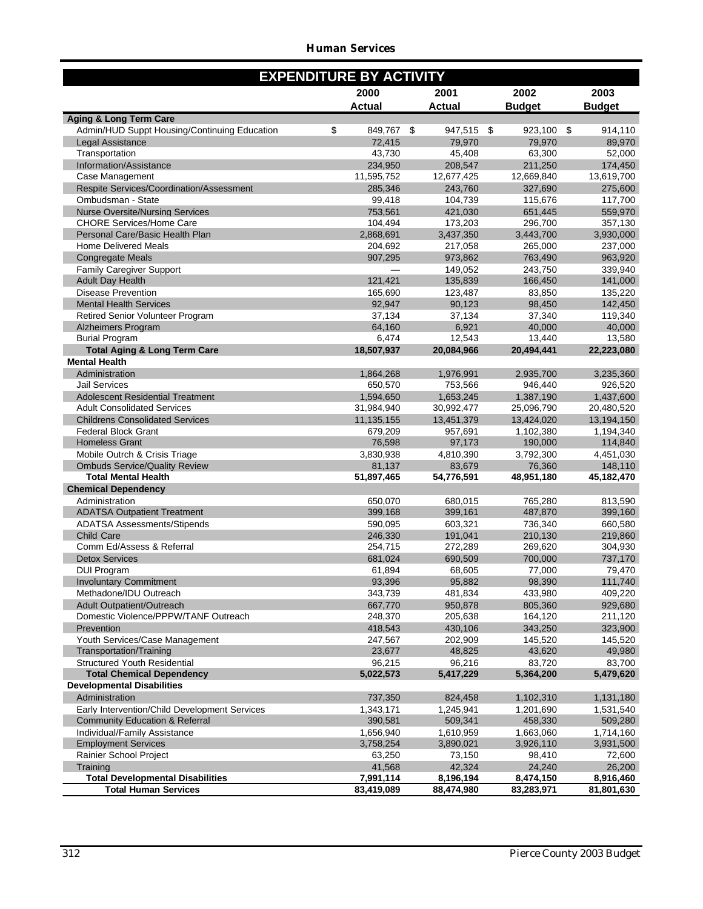#### *Human Services*

|                                                                 | <b>EXPENDITURE BY ACTIVITY</b> |               |      |               |               |
|-----------------------------------------------------------------|--------------------------------|---------------|------|---------------|---------------|
|                                                                 | 2000                           | 2001          |      | 2002          | 2003          |
|                                                                 | <b>Actual</b>                  | <b>Actual</b> |      | <b>Budget</b> | <b>Budget</b> |
| <b>Aging &amp; Long Term Care</b>                               |                                |               |      |               |               |
| Admin/HUD Suppt Housing/Continuing Education                    | \$<br>849,767                  | \$<br>947,515 | - \$ | 923,100 \$    | 914,110       |
| Legal Assistance                                                | 72,415                         | 79.970        |      | 79,970        | 89,970        |
| Transportation                                                  | 43,730                         | 45,408        |      | 63,300        | 52,000        |
| Information/Assistance                                          | 234,950                        | 208,547       |      | 211,250       | 174,450       |
| Case Management                                                 | 11,595,752                     | 12,677,425    |      | 12,669,840    | 13,619,700    |
| Respite Services/Coordination/Assessment                        | 285.346                        | 243,760       |      | 327,690       | 275,600       |
| Ombudsman - State                                               | 99,418                         | 104,739       |      | 115,676       | 117,700       |
| <b>Nurse Oversite/Nursing Services</b>                          | 753,561                        | 421.030       |      | 651,445       | 559,970       |
| <b>CHORE Services/Home Care</b>                                 | 104,494                        | 173,203       |      | 296,700       | 357,130       |
| Personal Care/Basic Health Plan                                 | 2,868,691                      | 3,437,350     |      | 3,443,700     | 3,930,000     |
| <b>Home Delivered Meals</b>                                     | 204,692                        | 217,058       |      | 265,000       | 237,000       |
| <b>Congregate Meals</b>                                         | 907,295                        | 973,862       |      | 763,490       | 963,920       |
| <b>Family Caregiver Support</b>                                 |                                | 149,052       |      | 243,750       | 339,940       |
| <b>Adult Day Health</b>                                         | 121,421                        | 135,839       |      | 166,450       | 141,000       |
| <b>Disease Prevention</b>                                       | 165,690                        | 123,487       |      | 83,850        | 135,220       |
| <b>Mental Health Services</b>                                   | 92.947                         | 90,123        |      | 98,450        | 142,450       |
| <b>Retired Senior Volunteer Program</b>                         | 37,134                         | 37,134        |      | 37,340        | 119,340       |
| <b>Alzheimers Program</b>                                       | 64,160                         | 6,921         |      | 40,000        | 40,000        |
| <b>Burial Program</b>                                           | 6,474                          | 12,543        |      | 13,440        | 13,580        |
| <b>Total Aging &amp; Long Term Care</b><br><b>Mental Health</b> | 18,507,937                     | 20,084,966    |      | 20,494,441    | 22,223,080    |
| Administration                                                  | 1.864.268                      | 1,976,991     |      | 2.935.700     | 3,235,360     |
| <b>Jail Services</b>                                            | 650,570                        | 753,566       |      | 946,440       | 926,520       |
| <b>Adolescent Residential Treatment</b>                         | 1,594,650                      | 1,653,245     |      | 1,387,190     | 1,437,600     |
| <b>Adult Consolidated Services</b>                              | 31,984,940                     | 30,992,477    |      | 25,096,790    | 20,480,520    |
| <b>Childrens Consolidated Services</b>                          | 11,135,155                     | 13,451,379    |      | 13,424,020    | 13,194,150    |
| <b>Federal Block Grant</b>                                      | 679,209                        | 957,691       |      | 1,102,380     | 1,194,340     |
| <b>Homeless Grant</b>                                           | 76,598                         | 97,173        |      | 190,000       | 114,840       |
| Mobile Outrch & Crisis Triage                                   | 3,830,938                      | 4,810,390     |      | 3,792,300     | 4,451,030     |
| <b>Ombuds Service/Quality Review</b>                            | 81,137                         | 83,679        |      | 76,360        | 148,110       |
| <b>Total Mental Health</b>                                      | 51,897,465                     | 54,776,591    |      | 48,951,180    | 45,182,470    |
| <b>Chemical Dependency</b>                                      |                                |               |      |               |               |
| Administration                                                  | 650,070                        | 680,015       |      | 765,280       | 813,590       |
| <b>ADATSA Outpatient Treatment</b>                              | 399,168                        | 399,161       |      | 487,870       | 399,160       |
| <b>ADATSA Assessments/Stipends</b>                              | 590.095                        | 603,321       |      | 736,340       | 660,580       |
| <b>Child Care</b>                                               | 246,330                        | 191,041       |      | 210,130       | 219,860       |
| Comm Ed/Assess & Referral                                       | 254,715                        | 272,289       |      | 269,620       | 304,930       |
| <b>Detox Services</b>                                           | 681,024                        | 690.509       |      | 700,000       | 737,170       |
| <b>DUI Program</b>                                              | 61,894                         | 68,605        |      | 77,000        | 79,470        |
| <b>Involuntary Commitment</b>                                   | 93,396                         | 95,882        |      | 98,390        | 111,740       |
| Methadone/IDU Outreach                                          | 343,739                        | 481,834       |      | 433,980       | 409,220       |
| <b>Adult Outpatient/Outreach</b>                                | 667,770                        | 950.878       |      | 805,360       | 929,680       |
| Domestic Violence/PPPW/TANF Outreach                            | 248,370                        | 205,638       |      | 164,120       | 211,120       |
| Prevention                                                      | 418,543                        | 430,106       |      | 343,250       | 323,900       |
| Youth Services/Case Management                                  | 247,567                        | 202,909       |      | 145,520       | 145,520       |
| Transportation/Training                                         | 23,677                         | 48,825        |      | 43,620        | 49,980        |
| <b>Structured Youth Residential</b>                             | 96,215                         | 96,216        |      | 83,720        | 83,700        |
| <b>Total Chemical Dependency</b>                                | 5,022,573                      | 5,417,229     |      | 5,364,200     | 5,479,620     |
| <b>Developmental Disabilities</b>                               |                                |               |      |               |               |
| Administration                                                  | 737,350                        | 824,458       |      | 1,102,310     | 1,131,180     |
| Early Intervention/Child Development Services                   | 1,343,171                      | 1,245,941     |      | 1,201,690     | 1,531,540     |
| <b>Community Education &amp; Referral</b>                       | 390,581                        | 509,341       |      | 458,330       | 509,280       |
| Individual/Family Assistance                                    | 1,656,940                      | 1,610,959     |      | 1,663,060     | 1,714,160     |
| <b>Employment Services</b>                                      | 3,758,254                      | 3,890,021     |      | 3,926,110     | 3,931,500     |
| Rainier School Project                                          | 63,250                         | 73,150        |      | 98,410        | 72,600        |
| Training                                                        | 41,568                         | 42,324        |      | 24,240        | 26,200        |
| <b>Total Developmental Disabilities</b>                         | 7,991,114                      | 8,196,194     |      | 8,474,150     | 8,916,460     |
| <b>Total Human Services</b>                                     | 83,419,089                     | 88,474,980    |      | 83,283,971    | 81,801,630    |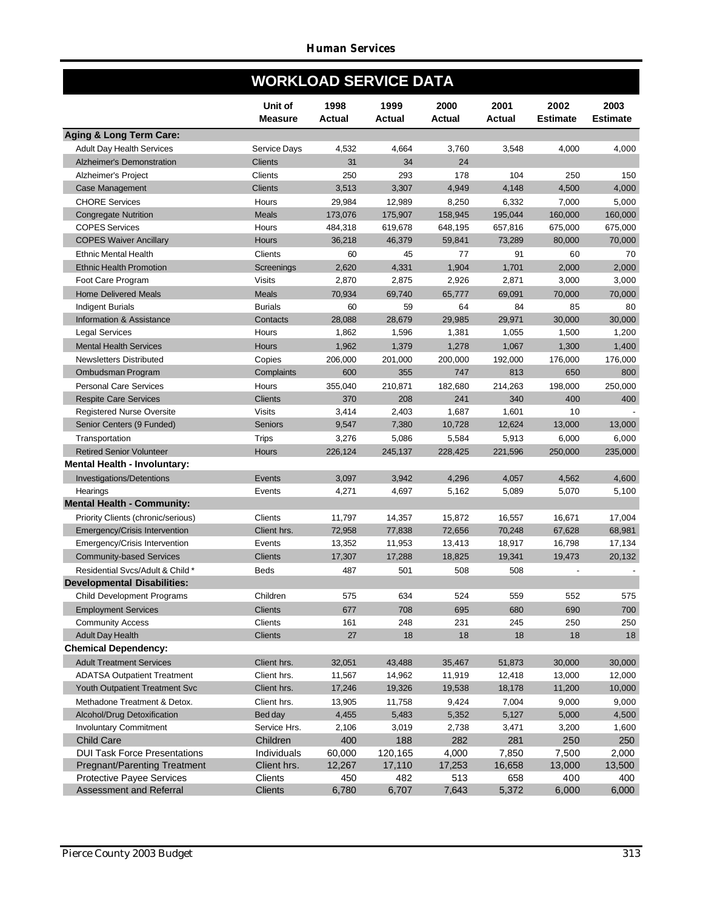|                                     | <b>WORKLOAD SERVICE DATA</b> |                |                |                |                       |                         |                         |
|-------------------------------------|------------------------------|----------------|----------------|----------------|-----------------------|-------------------------|-------------------------|
|                                     | Unit of<br><b>Measure</b>    | 1998<br>Actual | 1999<br>Actual | 2000<br>Actual | 2001<br><b>Actual</b> | 2002<br><b>Estimate</b> | 2003<br><b>Estimate</b> |
| Aging & Long Term Care:             |                              |                |                |                |                       |                         |                         |
| <b>Adult Day Health Services</b>    | <b>Service Days</b>          | 4,532          | 4,664          | 3,760          | 3,548                 | 4,000                   | 4,000                   |
| Alzheimer's Demonstration           | <b>Clients</b>               | 31             | 34             | 24             |                       |                         |                         |
| Alzheimer's Project                 | Clients                      | 250            | 293            | 178            | 104                   | 250                     | 150                     |
| Case Management                     | <b>Clients</b>               | 3,513          | 3,307          | 4,949          | 4,148                 | 4,500                   | 4,000                   |
| <b>CHORE Services</b>               | Hours                        | 29,984         | 12,989         | 8,250          | 6,332                 | 7,000                   | 5,000                   |
| <b>Congregate Nutrition</b>         | <b>Meals</b>                 | 173,076        | 175,907        | 158,945        | 195,044               | 160,000                 | 160,000                 |
| <b>COPES Services</b>               | Hours                        | 484,318        | 619,678        | 648,195        | 657,816               | 675,000                 | 675,000                 |
| <b>COPES Waiver Ancillary</b>       | Hours                        | 36,218         | 46,379         | 59,841         | 73,289                | 80,000                  | 70,000                  |
| <b>Ethnic Mental Health</b>         | Clients                      | 60             | 45             | 77             | 91                    | 60                      | 70                      |
| <b>Ethnic Health Promotion</b>      | <b>Screenings</b>            | 2,620          | 4,331          | 1,904          | 1,701                 | 2,000                   | 2,000                   |
| Foot Care Program                   | <b>Visits</b>                | 2,870          | 2,875          | 2,926          | 2,871                 | 3,000                   | 3,000                   |
| <b>Home Delivered Meals</b>         | <b>Meals</b>                 | 70,934         | 69,740         | 65,777         | 69,091                | 70,000                  | 70,000                  |
| <b>Indigent Burials</b>             | <b>Burials</b>               | 60             | 59             | 64             | 84                    | 85                      | 80                      |
| Information & Assistance            | Contacts                     | 28,088         | 28,679         | 29,985         | 29,971                | 30,000                  | 30,000                  |
| <b>Legal Services</b>               | Hours                        | 1,862          | 1,596          | 1,381          | 1,055                 | 1,500                   | 1,200                   |
| <b>Mental Health Services</b>       | <b>Hours</b>                 | 1,962          | 1,379          | 1,278          | 1,067                 | 1,300                   | 1,400                   |
| <b>Newsletters Distributed</b>      | Copies                       | 206,000        | 201,000        | 200,000        | 192,000               | 176,000                 | 176,000                 |
| Ombudsman Program                   | Complaints                   | 600            | 355            | 747            | 813                   | 650                     | 800                     |
| <b>Personal Care Services</b>       | Hours                        | 355,040        | 210,871        | 182,680        | 214,263               | 198,000                 | 250,000                 |
| <b>Respite Care Services</b>        | <b>Clients</b>               | 370            | 208            | 241            | 340                   | 400                     | 400                     |
| <b>Registered Nurse Oversite</b>    | <b>Visits</b>                | 3,414          | 2,403          | 1,687          | 1,601                 | 10                      |                         |
| Senior Centers (9 Funded)           | <b>Seniors</b>               | 9,547          | 7,380          | 10,728         | 12,624                | 13,000                  | 13,000                  |
| Transportation                      | <b>Trips</b>                 | 3,276          | 5,086          | 5,584          | 5,913                 | 6,000                   | 6,000                   |
| <b>Retired Senior Volunteer</b>     | <b>Hours</b>                 | 226,124        | 245,137        | 228,425        | 221,596               | 250,000                 | 235,000                 |
| Mental Health - Involuntary:        |                              |                |                |                |                       |                         |                         |
| <b>Investigations/Detentions</b>    | Events                       | 3,097          | 3,942          | 4,296          | 4,057                 | 4,562                   | 4,600                   |
| Hearings                            | Events                       | 4,271          | 4,697          | 5,162          | 5,089                 | 5,070                   | 5,100                   |
| <b>Mental Health - Community:</b>   |                              |                |                |                |                       |                         |                         |
| Priority Clients (chronic/serious)  | Clients                      | 11,797         | 14,357         | 15,872         | 16,557                | 16,671                  | 17,004                  |
| Emergency/Crisis Intervention       | Client hrs.                  | 72,958         | 77,838         | 72,656         | 70,248                | 67,628                  | 68,981                  |
| Emergency/Crisis Intervention       | Events                       | 13,352         | 11,953         | 13,413         | 18,917                | 16,798                  | 17,134                  |
| <b>Community-based Services</b>     | <b>Clients</b>               | 17,307         | 17,288         | 18,825         | 19,341                | 19.473                  | 20,132                  |
| Residential Svcs/Adult & Child*     | <b>Beds</b>                  | 487            | 501            | 508            | 508                   |                         |                         |
| Developmental Disabilities:         |                              |                |                |                |                       |                         |                         |
| Child Development Programs          | Children                     | 575            | 634            | 524            | 559                   | 552                     | 575                     |
| <b>Employment Services</b>          | <b>Clients</b>               | 677            | 708            | 695            | 680                   | 690                     | 700                     |
| <b>Community Access</b>             | Clients                      | 161            | 248            | 231            | 245                   | 250                     | 250                     |
| <b>Adult Day Health</b>             | <b>Clients</b>               | 27             | 18             | 18             | 18                    | 18                      | 18                      |
| <b>Chemical Dependency:</b>         |                              |                |                |                |                       |                         |                         |
| <b>Adult Treatment Services</b>     | Client hrs.                  | 32,051         | 43,488         | 35,467         | 51,873                | 30,000                  | 30,000                  |
| <b>ADATSA Outpatient Treatment</b>  | Client hrs.                  | 11,567         | 14,962         | 11,919         | 12,418                | 13,000                  | 12,000                  |
| Youth Outpatient Treatment Svc      | Client hrs.                  | 17,246         | 19,326         | 19,538         | 18,178                | 11,200                  | 10,000                  |
| Methadone Treatment & Detox.        | Client hrs.                  | 13,905         | 11,758         | 9,424          | 7,004                 | 9,000                   | 9,000                   |
| Alcohol/Drug Detoxification         | Bed day                      | 4,455          | 5,483          | 5,352          | 5,127                 | 5,000                   | 4,500                   |
| <b>Involuntary Commitment</b>       | Service Hrs.                 | 2,106          | 3,019          | 2,738          | 3,471                 | 3,200                   | 1,600                   |
| <b>Child Care</b>                   | Children                     | 400            | 188            | 282            | 281                   | 250                     | 250                     |
| <b>DUI Task Force Presentations</b> | Individuals                  | 60,000         | 120,165        | 4,000          | 7,850                 | 7,500                   | 2,000                   |
| Pregnant/Parenting Treatment        | Client hrs.                  | 12,267         | 17,110         | 17,253         | 16,658                | 13,000                  | 13,500                  |
| <b>Protective Payee Services</b>    | Clients                      | 450            | 482            | 513            | 658                   | 400                     | 400                     |
| Assessment and Referral             | Clients                      | 6,780          | 6,707          | 7,643          | 5,372                 | 6,000                   | 6,000                   |

F

F

F

F

Г

F

F

F

F

F

F

T

F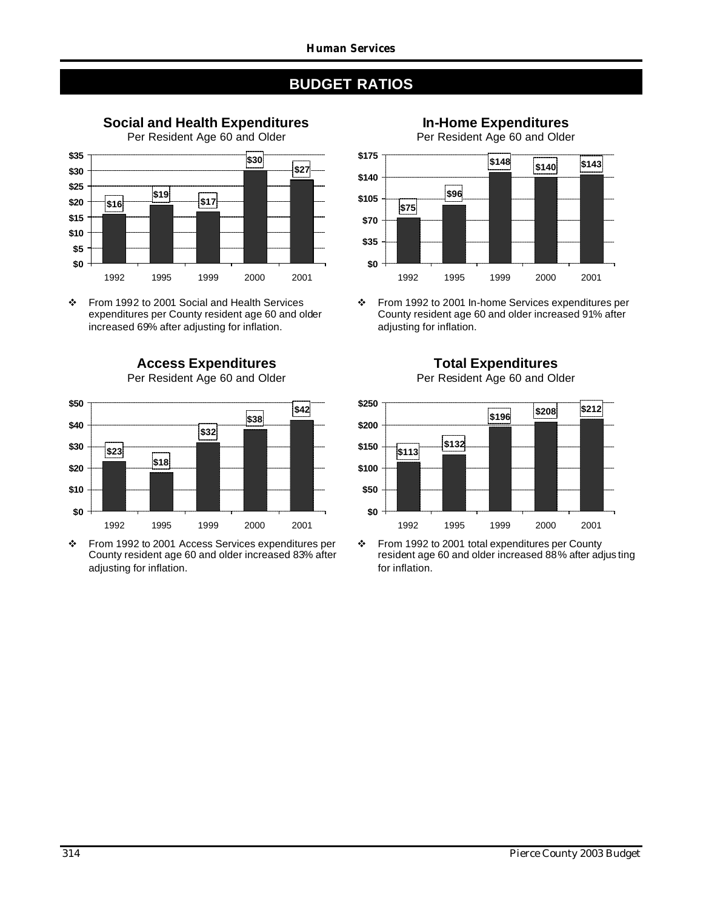

v From 1992 to 2001 Social and Health Services expenditures per County resident age 60 and older increased 69% after adjusting for inflation.

1992 1995 1999 2000 2001

**Access Expenditures** Per Resident Age 60 and Older



\* From 1992 to 2001 Access Services expenditures per County resident age 60 and older increased 83% after adjusting for inflation.

**In-Home Expenditures**

Per Resident Age 60 and Older



v From 1992 to 2001 In-home Services expenditures per County resident age 60 and older increased 91% after adjusting for inflation.



v From 1992 to 2001 total expenditures per County resident age 60 and older increased 88% after adjus ting for inflation.

**Total Expenditures** Per Resident Age 60 and Older

**\$0**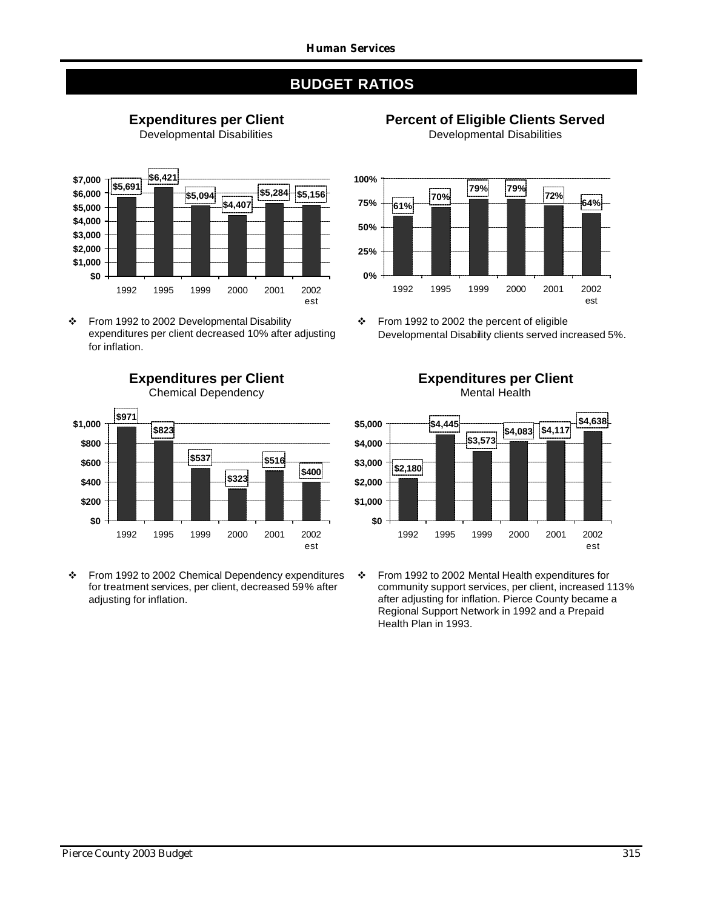







v From 1992 to 2002 Developmental Disability expenditures per client decreased 10% after adjusting for inflation.

**Expenditures per Client**



\* From 1992 to 2002 Chemical Dependency expenditures for treatment services, per client, decreased 59% after adjusting for inflation.



v From 1992 to 2002 the percent of eligible Developmental Disability clients served increased 5%.

**Expenditures per Client** Mental Health



v From 1992 to 2002 Mental Health expenditures for community support services, per client, increased 113% after adjusting for inflation. Pierce County became a Regional Support Network in 1992 and a Prepaid Health Plan in 1993.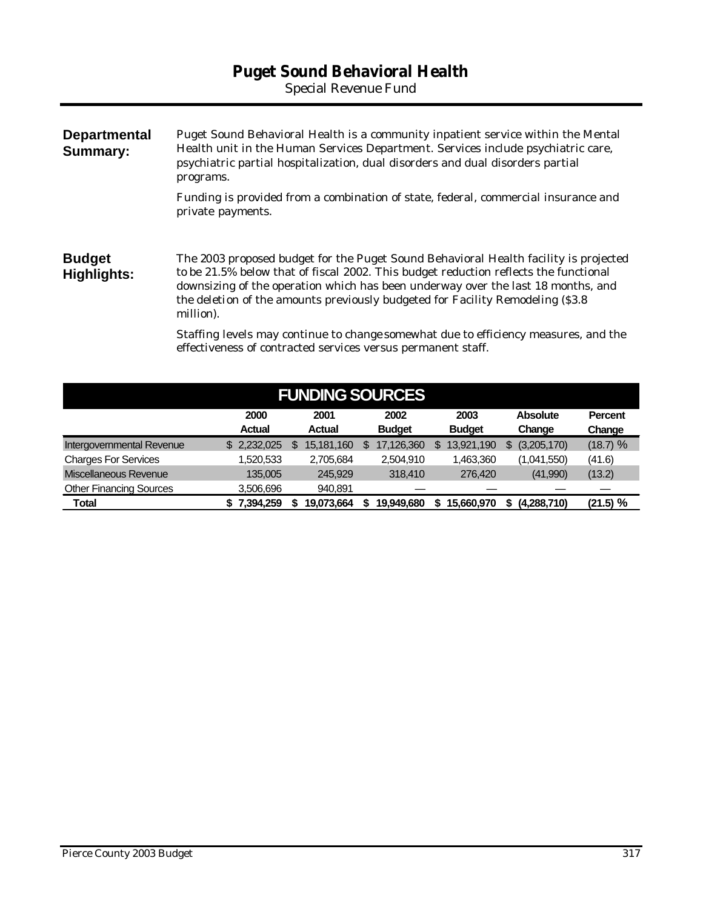# **Puget Sound Behavioral Health**

*Special Revenue Fund*

| <b>Departmental</b><br><b>Summary:</b> | Puget Sound Behavioral Health is a community inpatient service within the Mental<br>Health unit in the Human Services Department. Services include psychiatric care,<br>psychiatric partial hospitalization, dual disorders and dual disorders partial<br>programs.                                                                                              |  |  |  |  |  |  |  |  |
|----------------------------------------|------------------------------------------------------------------------------------------------------------------------------------------------------------------------------------------------------------------------------------------------------------------------------------------------------------------------------------------------------------------|--|--|--|--|--|--|--|--|
|                                        | Funding is provided from a combination of state, federal, commercial insurance and<br>private payments.                                                                                                                                                                                                                                                          |  |  |  |  |  |  |  |  |
| <b>Budget</b><br>Highlights:           | The 2003 proposed budget for the Puget Sound Behavioral Health facility is projected<br>to be 21.5% below that of fiscal 2002. This budget reduction reflects the functional<br>downsizing of the operation which has been underway over the last 18 months, and<br>the deletion of the amounts previously budgeted for Facility Remodeling (\$3.8)<br>million). |  |  |  |  |  |  |  |  |
|                                        | Staffing levels may continue to change somewhat due to efficiency measures, and the<br>effectiveness of contracted services versus permanent staff.                                                                                                                                                                                                              |  |  |  |  |  |  |  |  |

| <b>FUNDING SOURCES</b>         |  |               |    |               |   |               |    |               |  |                 |                |  |  |
|--------------------------------|--|---------------|----|---------------|---|---------------|----|---------------|--|-----------------|----------------|--|--|
|                                |  | 2000          |    | 2001          |   | 2002          |    | 2003          |  | <b>Absolute</b> | <b>Percent</b> |  |  |
|                                |  | <b>Actual</b> |    | <b>Actual</b> |   | <b>Budget</b> |    | <b>Budget</b> |  | Change          | Change         |  |  |
| Intergovernmental Revenue      |  | \$2,232,025   | \$ | 15,181,160    | S | 17,126,360    | \$ | 13,921,190    |  | (3,205,170)     | (18.7) %       |  |  |
| <b>Charges For Services</b>    |  | 1,520,533     |    | 2,705,684     |   | 2,504,910     |    | 1,463,360     |  | (1,041,550)     | (41.6)         |  |  |
| Miscellaneous Revenue          |  | 135,005       |    | 245.929       |   | 318,410       |    | 276,420       |  | (41,990)        | (13.2)         |  |  |
| <b>Other Financing Sources</b> |  | 3,506,696     |    | 940.891       |   |               |    |               |  |                 |                |  |  |
| Total                          |  | 7.394.259     |    | 19.073.664    |   | 19.949.680    |    | 15.660.970    |  | (4,288,710)     | (21.5) %       |  |  |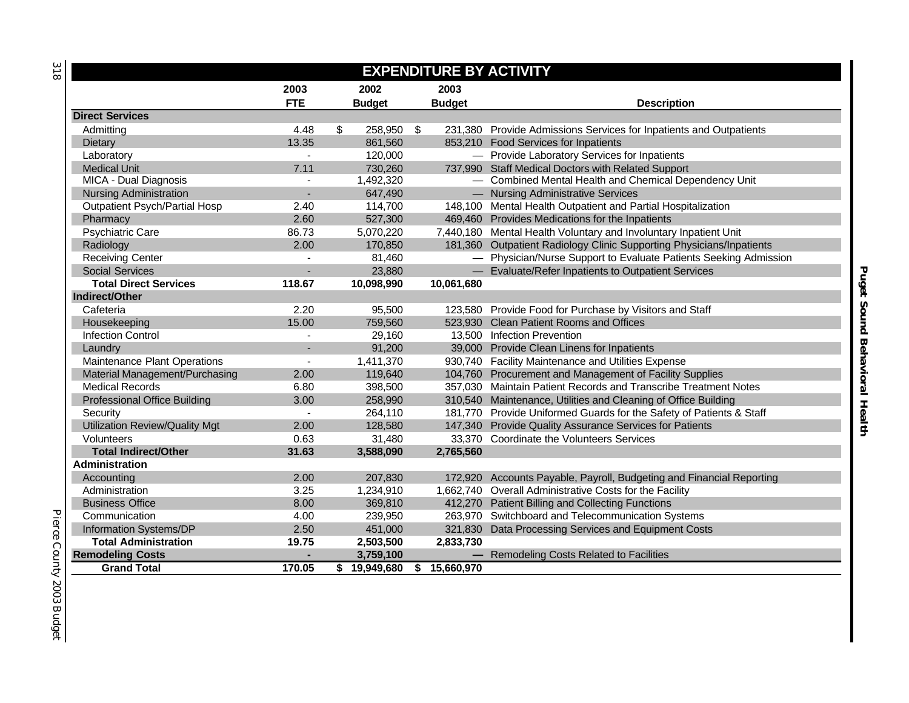| v<br>$\sim$ |  |
|-------------|--|
| __          |  |
|             |  |

| <b>EXPENDITURE BY ACTIVITY</b>        |                |                  |               |                                                                      |  |  |  |  |  |  |  |
|---------------------------------------|----------------|------------------|---------------|----------------------------------------------------------------------|--|--|--|--|--|--|--|
|                                       | 2003           | 2002             | 2003          |                                                                      |  |  |  |  |  |  |  |
|                                       | <b>FTE</b>     | <b>Budget</b>    | <b>Budget</b> | <b>Description</b>                                                   |  |  |  |  |  |  |  |
| <b>Direct Services</b>                |                |                  |               |                                                                      |  |  |  |  |  |  |  |
| Admitting                             | 4.48           | \$<br>258,950 \$ |               | 231,380 Provide Admissions Services for Inpatients and Outpatients   |  |  |  |  |  |  |  |
| Dietary                               | 13.35          | 861,560          |               | 853,210 Food Services for Inpatients                                 |  |  |  |  |  |  |  |
| Laboratory                            | $\overline{a}$ | 120,000          |               | - Provide Laboratory Services for Inpatients                         |  |  |  |  |  |  |  |
| <b>Medical Unit</b>                   | 7.11           | 730,260          |               | 737,990 Staff Medical Doctors with Related Support                   |  |  |  |  |  |  |  |
| MICA - Dual Diagnosis                 |                | 1,492,320        |               | - Combined Mental Health and Chemical Dependency Unit                |  |  |  |  |  |  |  |
| <b>Nursing Administration</b>         |                | 647,490          |               | - Nursing Administrative Services                                    |  |  |  |  |  |  |  |
| <b>Outpatient Psych/Partial Hosp</b>  | 2.40           | 114,700          |               | 148,100 Mental Health Outpatient and Partial Hospitalization         |  |  |  |  |  |  |  |
| Pharmacy                              | 2.60           | 527,300          |               | 469,460 Provides Medications for the Inpatients                      |  |  |  |  |  |  |  |
| <b>Psychiatric Care</b>               | 86.73          | 5,070,220        |               | 7,440,180 Mental Health Voluntary and Involuntary Inpatient Unit     |  |  |  |  |  |  |  |
| Radiology                             | 2.00           | 170,850          |               | 181,360 Outpatient Radiology Clinic Supporting Physicians/Inpatients |  |  |  |  |  |  |  |
| <b>Receiving Center</b>               |                | 81,460           |               | - Physician/Nurse Support to Evaluate Patients Seeking Admission     |  |  |  |  |  |  |  |
| <b>Social Services</b>                |                | 23,880           |               | - Evaluate/Refer Inpatients to Outpatient Services                   |  |  |  |  |  |  |  |
| <b>Total Direct Services</b>          | 118.67         | 10,098,990       | 10,061,680    |                                                                      |  |  |  |  |  |  |  |
| Indirect/Other                        |                |                  |               |                                                                      |  |  |  |  |  |  |  |
| Cafeteria                             | 2.20           | 95,500           |               | 123,580 Provide Food for Purchase by Visitors and Staff              |  |  |  |  |  |  |  |
| Housekeeping                          | 15.00          | 759,560          |               | 523,930 Clean Patient Rooms and Offices                              |  |  |  |  |  |  |  |
| <b>Infection Control</b>              |                | 29,160           |               | 13,500 Infection Prevention                                          |  |  |  |  |  |  |  |
| Laundry                               |                | 91,200           |               | 39,000 Provide Clean Linens for Inpatients                           |  |  |  |  |  |  |  |
| Maintenance Plant Operations          | $\overline{a}$ | 1,411,370        |               | 930,740 Facility Maintenance and Utilities Expense                   |  |  |  |  |  |  |  |
| Material Management/Purchasing        | 2.00           | 119,640          |               | 104,760 Procurement and Management of Facility Supplies              |  |  |  |  |  |  |  |
| <b>Medical Records</b>                | 6.80           | 398,500          |               | 357,030 Maintain Patient Records and Transcribe Treatment Notes      |  |  |  |  |  |  |  |
| <b>Professional Office Building</b>   | 3.00           | 258,990          |               | 310,540 Maintenance, Utilities and Cleaning of Office Building       |  |  |  |  |  |  |  |
| Security                              | $\blacksquare$ | 264,110          |               | 181,770 Provide Uniformed Guards for the Safety of Patients & Staff  |  |  |  |  |  |  |  |
| <b>Utilization Review/Quality Mgt</b> | 2.00           | 128,580          |               | 147,340 Provide Quality Assurance Services for Patients              |  |  |  |  |  |  |  |
| Volunteers                            | 0.63           | 31,480           |               | 33,370 Coordinate the Volunteers Services                            |  |  |  |  |  |  |  |
| <b>Total Indirect/Other</b>           | 31.63          | 3,588,090        | 2,765,560     |                                                                      |  |  |  |  |  |  |  |
| <b>Administration</b>                 |                |                  |               |                                                                      |  |  |  |  |  |  |  |
| Accounting                            | 2.00           | 207,830          |               | 172,920 Accounts Payable, Payroll, Budgeting and Financial Reporting |  |  |  |  |  |  |  |
| Administration                        | 3.25           | 1,234,910        |               | 1,662,740 Overall Administrative Costs for the Facility              |  |  |  |  |  |  |  |
| <b>Business Office</b>                | 8.00           | 369,810          |               | 412,270 Patient Billing and Collecting Functions                     |  |  |  |  |  |  |  |
| Communication                         | 4.00           | 239,950          |               | 263,970 Switchboard and Telecommunication Systems                    |  |  |  |  |  |  |  |
| Information Systems/DP                | 2.50           | 451,000          |               | 321,830 Data Processing Services and Equipment Costs                 |  |  |  |  |  |  |  |
| <b>Total Administration</b>           | 19.75          | 2,503,500        | 2,833,730     |                                                                      |  |  |  |  |  |  |  |
| <b>Remodeling Costs</b>               | ٠              | 3,759,100        |               | - Remodeling Costs Related to Facilities                             |  |  |  |  |  |  |  |
| <b>Grand Total</b>                    | 170.05         | \$19,949,680     | \$15,660,970  |                                                                      |  |  |  |  |  |  |  |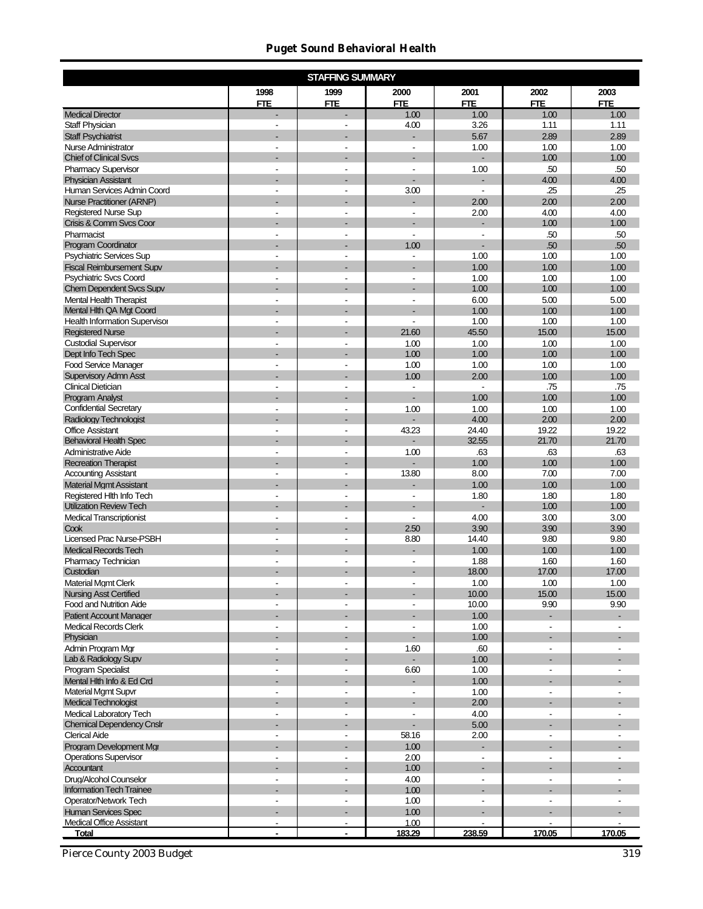### *Puget Sound Behavioral Health*

|                                                                |                          | <b>STAFFING SUMMARY</b>  |                          |                          |                          |                          |
|----------------------------------------------------------------|--------------------------|--------------------------|--------------------------|--------------------------|--------------------------|--------------------------|
|                                                                | 1998<br><b>FTE</b>       | 1999<br><b>FTE</b>       | 2000<br><b>FTE</b>       | 2001<br><b>FTE</b>       | 2002<br><b>FTE</b>       | 2003<br><b>FTE</b>       |
| <b>Medical Director</b>                                        | L.                       |                          | 1.00                     | 1.00                     | 1.00                     | 1.00                     |
| Staff Physician                                                | $\blacksquare$           | $\blacksquare$           | 4.00                     | 3.26                     | 1.11                     | 1.11                     |
| <b>Staff Psychiatrist</b>                                      |                          |                          |                          | 5.67                     | 2.89                     | 2.89                     |
| <b>Nurse Administrator</b>                                     | ÷,                       | ÷,                       | ÷,                       | 1.00                     | 1.00                     | 1.00                     |
| <b>Chief of Clinical Svcs</b>                                  | ٠                        |                          | ÷,                       | ÷,                       | 1.00                     | 1.00                     |
| <b>Pharmacy Supervisor</b>                                     | L,                       | ÷,                       | L,                       | 1.00                     | .50<br>4.00              | .50                      |
| <b>Physician Assistant</b><br>Human Services Admin Coord       | $\blacksquare$           | $\blacksquare$           | 3.00                     | $\blacksquare$           | .25                      | 4.00<br>.25              |
| <b>Nurse Practitioner (ARNP)</b>                               |                          |                          |                          | 2.00                     | 2.00                     | 2.00                     |
| <b>Registered Nurse Sup</b>                                    | ä,                       |                          |                          | 2.00                     | 4.00                     | 4.00                     |
| Crisis & Comm Svcs Coor                                        | ٠                        |                          | ÷,                       | $\overline{a}$           | 1.00                     | 1.00                     |
| Pharmacist                                                     | L,                       | L,                       | L,                       | L,                       | .50                      | .50                      |
| Program Coordinator                                            |                          |                          | 1.00                     |                          | .50                      | .50                      |
| <b>Psychiatric Services Sup</b>                                | $\blacksquare$           | ۰                        | $\overline{\phantom{a}}$ | 1.00                     | 1.00                     | 1.00                     |
| <b>Fiscal Reimbursement Supv</b>                               |                          |                          |                          | 1.00                     | 1.00                     | 1.00                     |
| <b>Psychiatric Svcs Coord</b>                                  | ÷,                       | ÷,                       | Ĭ.                       | 1.00                     | 1.00                     | 1.00                     |
| <b>Chem Dependent Svcs Supv</b>                                | ٠                        |                          | ÷,                       | 1.00                     | 1.00                     | 1.00                     |
| <b>Mental Health Therapist</b><br>Mental Hith QA Mgt Coord     | L,                       | ÷,                       | L,                       | 6.00<br>1.00             | 5.00<br>1.00             | 5.00<br>1.00             |
| <b>Health Information Supervisor</b>                           | $\blacksquare$           | $\blacksquare$           | $\overline{a}$           | 1.00                     | 1.00                     | 1.00                     |
| <b>Registered Nurse</b>                                        |                          |                          | 21.60                    | 45.50                    | 15.00                    | 15.00                    |
| <b>Custodial Supervisor</b>                                    | $\overline{a}$           | ä,                       | 1.00                     | 1.00                     | 1.00                     | 1.00                     |
| Dept Info Tech Spec                                            | ٠                        |                          | 1.00                     | 1.00                     | 1.00                     | 1.00                     |
| <b>Food Service Manager</b>                                    | $\overline{\phantom{a}}$ | ÷,                       | 1.00                     | 1.00                     | 1.00                     | 1.00                     |
| <b>Supervisory Admn Asst</b>                                   |                          |                          | 1.00                     | 2.00                     | 1.00                     | 1.00                     |
| <b>Clinical Dietician</b>                                      | $\overline{a}$           |                          | $\blacksquare$           | $\blacksquare$           | .75                      | .75                      |
| <b>Program Analyst</b>                                         |                          |                          |                          | 1.00                     | 1.00                     | 1.00                     |
| <b>Confidential Secretary</b>                                  | $\blacksquare$           | $\blacksquare$           | 1.00                     | 1.00                     | 1.00                     | 1.00                     |
| <b>Radiology Technologist</b>                                  | $\blacksquare$           | $\blacksquare$           | $\overline{a}$           | 4.00                     | 2.00                     | 2.00                     |
| <b>Office Assistant</b><br><b>Behavioral Health Spec</b>       |                          |                          | 43.23                    | 24.40<br>32.55           | 19.22<br>21.70           | 19.22<br>21.70           |
| Administrative Aide                                            | $\blacksquare$           | $\overline{a}$           | 1.00                     | .63                      | .63                      | .63                      |
| <b>Recreation Therapist</b>                                    |                          |                          |                          | 1.00                     | 1.00                     | 1.00                     |
| <b>Accounting Assistant</b>                                    | $\overline{\phantom{a}}$ | $\overline{\phantom{a}}$ | 13.80                    | 8.00                     | 7.00                     | 7.00                     |
| <b>Material Mgmt Assistant</b>                                 |                          |                          | $\overline{a}$           | 1.00                     | 1.00                     | 1.00                     |
| Registered Hith Info Tech                                      | $\blacksquare$           | ٠                        | $\overline{\phantom{a}}$ | 1.80                     | 1.80                     | 1.80                     |
| <b>Utilization Review Tech</b>                                 |                          |                          |                          |                          | 1.00                     | 1.00                     |
| <b>Medical Transcriptionist</b>                                | $\blacksquare$           | ٠                        | $\blacksquare$           | 4.00                     | 3.00                     | 3.00                     |
| Cook                                                           |                          |                          | 2.50                     | 3.90                     | 3.90                     | 3.90                     |
| <b>Licensed Prac Nurse-PSBH</b><br><b>Medical Records Tech</b> | $\overline{\phantom{a}}$ | $\overline{\phantom{a}}$ | 8.80<br>L.               | 14.40<br>1.00            | 9.80<br>1.00             | 9.80<br>1.00             |
| Pharmacy Technician                                            | $\overline{\phantom{a}}$ | ٠                        | ÷,                       | 1.88                     | 1.60                     | 1.60                     |
| Custodian                                                      |                          |                          | $\overline{a}$           | 18.00                    | 17.00                    | 17.00                    |
| <b>Material Mgmt Clerk</b>                                     |                          |                          |                          | 1.00                     | 1.00                     | 1.00                     |
| <b>Nursing Asst Certified</b>                                  |                          |                          |                          | 10.00                    | 15.00                    | 15.00                    |
| <b>Food and Nutrition Aide</b>                                 | $\overline{\phantom{a}}$ | $\overline{\phantom{a}}$ | $\blacksquare$           | 10.00                    | 9.90                     | 9.90                     |
| <b>Patient Account Manager</b>                                 |                          |                          |                          | 1.00                     | ÷.                       |                          |
| <b>Medical Records Clerk</b>                                   | $\overline{\phantom{a}}$ | $\overline{\phantom{a}}$ | $\overline{\phantom{a}}$ | 1.00                     | $\overline{\phantom{a}}$ | $\overline{\phantom{a}}$ |
| Physician                                                      |                          |                          |                          | 1.00                     |                          |                          |
| Admin Program Mgr                                              | $\overline{\phantom{a}}$ | $\blacksquare$           | 1.60                     | .60                      | $\overline{\phantom{a}}$ | $\blacksquare$           |
| Lab & Radiology Supv<br><b>Program Specialist</b>              | $\overline{\phantom{a}}$ | $\overline{\phantom{a}}$ | 6.60                     | 1.00<br>1.00             | $\blacksquare$           |                          |
| Mental Hith Info & Ed Crd                                      | ٠                        |                          | ÷.                       | 1.00                     | ÷.                       |                          |
| <b>Material Mgmt Supvr</b>                                     | $\overline{\phantom{a}}$ | $\overline{\phantom{a}}$ | $\overline{\phantom{a}}$ | 1.00                     | $\overline{\phantom{a}}$ | $\overline{\phantom{a}}$ |
| <b>Medical Technologist</b>                                    |                          |                          | ÷,                       | 2.00                     |                          |                          |
| <b>Medical Laboratory Tech</b>                                 | $\blacksquare$           | $\blacksquare$           | $\overline{a}$           | 4.00                     | $\blacksquare$           | $\overline{a}$           |
| <b>Chemical Dependency Cnslr</b>                               |                          |                          |                          | 5.00                     |                          |                          |
| <b>Clerical Aide</b>                                           | $\blacksquare$           | $\overline{\phantom{a}}$ | 58.16                    | 2.00                     | $\overline{\phantom{a}}$ |                          |
| Program Development Mgr                                        | ٠                        |                          | 1.00                     |                          | ÷.                       |                          |
| <b>Operations Supervisor</b>                                   | $\overline{\phantom{a}}$ | $\overline{\phantom{a}}$ | 2.00                     | $\overline{\phantom{a}}$ | $\overline{\phantom{a}}$ | $\overline{\phantom{a}}$ |
| Accountant                                                     |                          |                          | 1.00                     |                          |                          |                          |
| Drug/Alcohol Counselor                                         | $\blacksquare$           | $\blacksquare$           | 4.00                     | $\blacksquare$           | $\blacksquare$           | $\overline{a}$           |
| <b>Information Tech Trainee</b><br>Operator/Network Tech       | $\overline{\phantom{a}}$ | $\overline{\phantom{a}}$ | 1.00<br>1.00             | $\overline{\phantom{a}}$ | $\overline{\phantom{a}}$ | $\overline{\phantom{a}}$ |
| <b>Human Services Spec</b>                                     | $\overline{\phantom{a}}$ | ٠                        | 1.00                     |                          | ÷.                       |                          |
| <b>Medical Office Assistant</b>                                | $\overline{\phantom{a}}$ | $\overline{\phantom{a}}$ | 1.00                     | $\overline{\phantom{a}}$ | ä,                       |                          |
| Total                                                          | $\blacksquare$           | $\blacksquare$           | 183.29                   | 238.59                   | 170.05                   | 170.05                   |

*Pierce County 2003 Budget 319*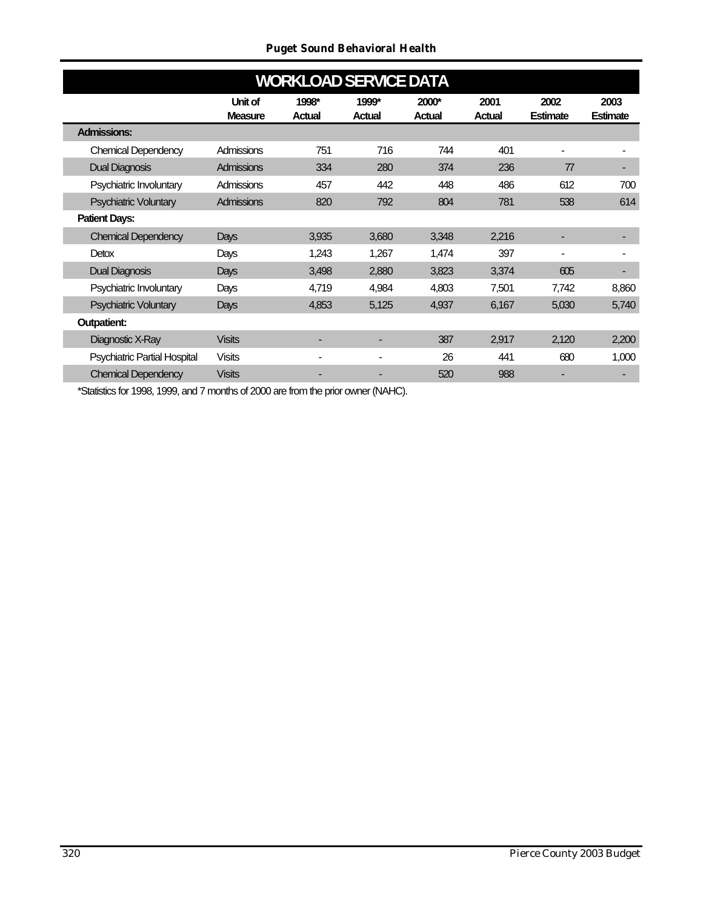### *Puget Sound Behavioral Health*

|                                     |                | <b>WORKLOAD SERVICE DATA</b> |               |               |               |                          |                          |
|-------------------------------------|----------------|------------------------------|---------------|---------------|---------------|--------------------------|--------------------------|
|                                     | Unit of        | 1998*                        | 1999*         | 2000*         | 2001          | 2002                     | 2003                     |
|                                     | <b>Measure</b> | <b>Actual</b>                | <b>Actual</b> | <b>Actual</b> | <b>Actual</b> | <b>Estimate</b>          | Estimate                 |
| <b>Admissions:</b>                  |                |                              |               |               |               |                          |                          |
| <b>Chemical Dependency</b>          | Admissions     | 751                          | 716           | 744           | 401           |                          |                          |
| Dual Diagnosis                      | Admissions     | 334                          | 280           | 374           | 236           | 77                       |                          |
| Psychiatric Involuntary             | Admissions     | 457                          | 442           | 448           | 486           | 612                      | 700                      |
| Psychiatric Voluntary               | Admissions     | 820                          | 792           | 804           | 781           | 538                      | 614                      |
| <b>Patient Days:</b>                |                |                              |               |               |               |                          |                          |
| <b>Chemical Dependency</b>          | Days           | 3,935                        | 3,680         | 3,348         | 2,216         | $\overline{\phantom{a}}$ |                          |
| <b>Detox</b>                        | Days           | 1,243                        | 1,267         | 1,474         | 397           | $\blacksquare$           |                          |
| <b>Dual Diagnosis</b>               | Days           | 3,498                        | 2,880         | 3,823         | 3,374         | 605                      | $\overline{\phantom{0}}$ |
| Psychiatric Involuntary             | Days           | 4,719                        | 4,984         | 4,803         | 7,501         | 7,742                    | 8,860                    |
| Psychiatric Voluntary               | Days           | 4,853                        | 5,125         | 4,937         | 6,167         | 5,030                    | 5,740                    |
| <b>Outpatient:</b>                  |                |                              |               |               |               |                          |                          |
| Diagnostic X-Ray                    | <b>Visits</b>  | -                            |               | 387           | 2,917         | 2,120                    | 2,200                    |
| <b>Psychiatric Partial Hospital</b> | <b>Visits</b>  | $\overline{\phantom{0}}$     |               | 26            | 441           | 680                      | 1,000                    |
| <b>Chemical Dependency</b>          | <b>Visits</b>  | -                            |               | 520           | 988           |                          |                          |
|                                     |                |                              |               |               |               |                          |                          |

\*Statistics for 1998, 1999, and 7 months of 2000 are from the prior owner (NAHC).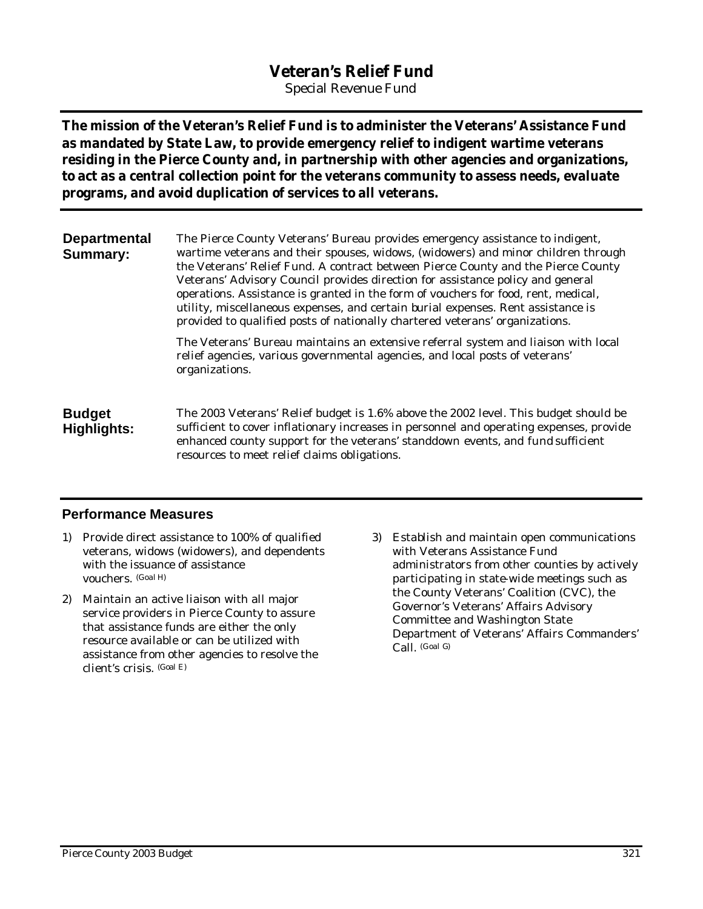# **Veteran's Relief Fund**

*Special Revenue Fund*

**The mission of the Veteran's Relief Fund is to administer the Veterans' Assistance Fund as mandated by State Law, to provide emergency relief to indigent wartime veterans residing in the Pierce County and, in partnership with other agencies and organizations, to act as a central collection point for the veterans community to assess needs, evaluate programs, and avoid duplication of services to all veterans.**

**Departmental Summary:** The Pierce County Veterans' Bureau provides emergency assistance to indigent, wartime veterans and their spouses, widows, (widowers) and minor children through the Veterans' Relief Fund. A contract between Pierce County and the Pierce County Veterans' Advisory Council provides direction for assistance policy and general operations. Assistance is granted in the form of vouchers for food, rent, medical, utility, miscellaneous expenses, and certain burial expenses. Rent assistance is provided to qualified posts of nationally chartered veterans' organizations.

> The Veterans' Bureau maintains an extensive referral system and liaison with local relief agencies, various governmental agencies, and local posts of veterans' organizations.

**Budget Highlights:** The 2003 Veterans' Relief budget is 1.6% above the 2002 level. This budget should be sufficient to cover inflationary increases in personnel and operating expenses, provide enhanced county support for the veterans' standdown events, and fund sufficient resources to meet relief claims obligations.

## **Performance Measures**

- 1) Provide direct assistance to 100% of qualified veterans, widows (widowers), and dependents with the issuance of assistance vouchers. (Goal H)
- 2) Maintain an active liaison with all major service providers in Pierce County to assure that assistance funds are either the only resource available or can be utilized with assistance from other agencies to resolve the client's crisis. (Goal E)
- 3) Establish and maintain open communications with Veterans Assistance Fund administrators from other counties by actively participating in state-wide meetings such as the County Veterans' Coalition (CVC), the Governor's Veterans' Affairs Advisory Committee and Washington State Department of Veterans' Affairs Commanders' Call. (Goal G)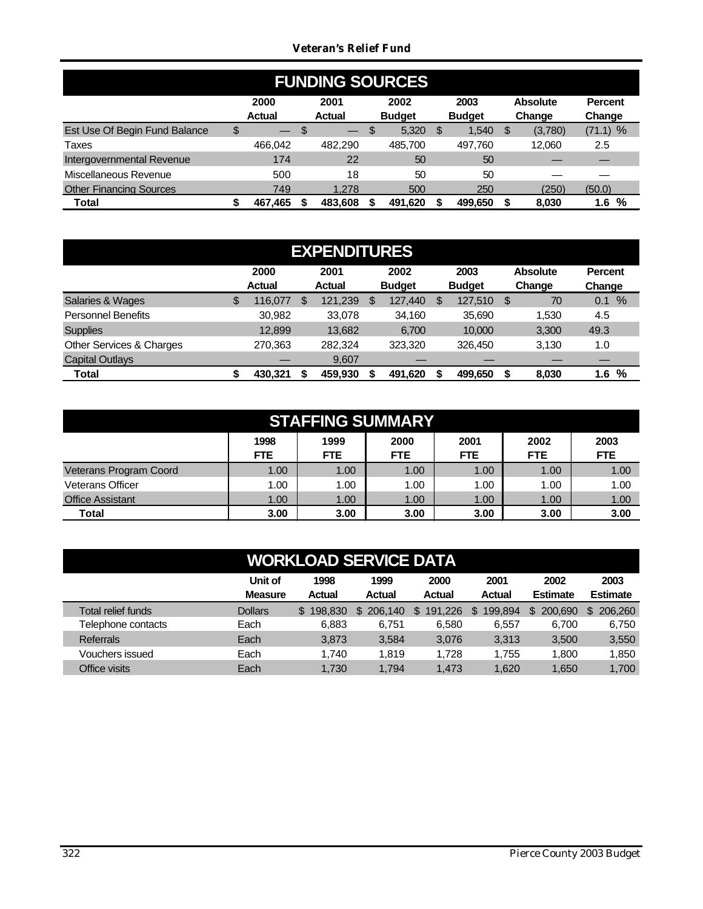## *Veteran's Relief Fund*

| <b>FUNDING SOURCES</b>         |    |                          |   |                       |    |                       |      |                       |     |                           |                          |  |
|--------------------------------|----|--------------------------|---|-----------------------|----|-----------------------|------|-----------------------|-----|---------------------------|--------------------------|--|
|                                |    | 2000<br><b>Actual</b>    |   | 2001<br><b>Actual</b> |    | 2002<br><b>Budget</b> |      | 2003<br><b>Budget</b> |     | <b>Absolute</b><br>Change | <b>Percent</b><br>Change |  |
| Est Use Of Begin Fund Balance  | \$ | $\overline{\phantom{0}}$ | S |                       | \$ | 5,320                 | - \$ | 1.540                 | \$. | (3,780)                   | $(71.1)$ %               |  |
| Taxes                          |    | 466.042                  |   | 482.290               |    | 485.700               |      | 497.760               |     | 12.060                    | 2.5                      |  |
| Intergovernmental Revenue      |    | 174                      |   | 22                    |    | 50                    |      | 50                    |     |                           |                          |  |
| Miscellaneous Revenue          |    | 500                      |   | 18                    |    | 50                    |      | 50                    |     |                           |                          |  |
| <b>Other Financing Sources</b> |    | 749                      |   | 1.278                 |    | 500                   |      | 250                   |     | (250)                     | (50.0)                   |  |
| <b>Total</b>                   |    | 467.465                  |   | 483.608               |    | 491.620               |      | 499.650               |     | 8.030                     | %<br>1.6                 |  |

| <b>EXPENDITURES</b>       |    |                       |   |                       |    |                       |   |                       |    |                           |                          |  |
|---------------------------|----|-----------------------|---|-----------------------|----|-----------------------|---|-----------------------|----|---------------------------|--------------------------|--|
|                           |    | 2000<br><b>Actual</b> |   | 2001<br><b>Actual</b> |    | 2002<br><b>Budget</b> |   | 2003<br><b>Budget</b> |    | <b>Absolute</b><br>Change | <b>Percent</b><br>Change |  |
| Salaries & Wages          | \$ | 116.077               | S | 121,239               | \$ | 127,440               | S | 127,510               | \$ | 70                        | %<br>0.1                 |  |
| <b>Personnel Benefits</b> |    | 30,982                |   | 33.078                |    | 34.160                |   | 35.690                |    | 1.530                     | 4.5                      |  |
| <b>Supplies</b>           |    | 12.899                |   | 13,682                |    | 6.700                 |   | 10.000                |    | 3,300                     | 49.3                     |  |
| Other Services & Charges  |    | 270,363               |   | 282.324               |    | 323.320               |   | 326,450               |    | 3,130                     | 1.0                      |  |
| <b>Capital Outlays</b>    |    |                       |   | 9.607                 |    |                       |   |                       |    |                           |                          |  |
| Total                     |    | 430.321               |   | 459,930               |    | 491.620               |   | 499,650               | S  | 8,030                     | %<br>1.6                 |  |

| <b>STAFFING SUMMARY</b> |                    |                    |                    |                    |                    |                    |  |  |  |  |  |  |
|-------------------------|--------------------|--------------------|--------------------|--------------------|--------------------|--------------------|--|--|--|--|--|--|
|                         | 1998<br><b>FTE</b> | 1999<br><b>FTE</b> | 2000<br><b>FTE</b> | 2001<br><b>FTE</b> | 2002<br><b>FTE</b> | 2003<br><b>FTE</b> |  |  |  |  |  |  |
| Veterans Program Coord  | 1.00               | 1.00               | 1.00               | 1.00               | 1.00               | 1.00               |  |  |  |  |  |  |
| <b>Veterans Officer</b> | 1.00               | 1.00               | 1.00               | 1.00               | 1.00               | 1.00               |  |  |  |  |  |  |
| <b>Office Assistant</b> | 1.00               | 1.00               | 1.00               | 1.00               | 1.00               | 1.00               |  |  |  |  |  |  |
| Total                   | 3.00               | 3.00               | 3.00               | 3.00               | 3.00               | 3.00               |  |  |  |  |  |  |

# **WORKLOAD SERVICE DATA**

|                    | Unit of        | 1998      | 1999           | 2000    | 2001           | 2002            | 2003            |
|--------------------|----------------|-----------|----------------|---------|----------------|-----------------|-----------------|
|                    | <b>Measure</b> | Actual    | Actual         | Actual  | <b>Actual</b>  | <b>Estimate</b> | <b>Estimate</b> |
| Total relief funds | <b>Dollars</b> | \$198,830 | 206.140<br>\$. | 191.226 | 199.894<br>\$. | 200,690<br>\$.  | 206,260<br>\$.  |
| Telephone contacts | Each           | 6.883     | 6.751          | 6.580   | 6.557          | 6,700           | 6,750           |
| <b>Referrals</b>   | Each           | 3,873     | 3,584          | 3.076   | 3.313          | 3.500           | 3,550           |
| Vouchers issued    | Each           | 1.740     | 1.819          | 1,728   | 1.755          | 1.800           | 1,850           |
| Office visits      | Each           | 1,730     | 1.794          | 1.473   | 1,620          | 1,650           | 1,700           |